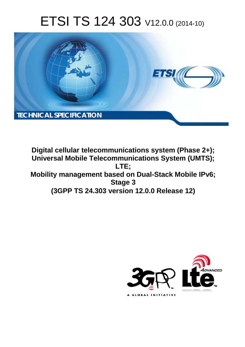# ETSI TS 124 303 V12.0.0 (2014-10)



**Digital cellular telecommunications system (Phase 2+); Universal Mobile Telecommunications System (UMTS); LTE; Mobility management based on Dual-Stack Mobile IPv6; Stage 3 (3GPP TS 24.303 version 12.0.0 Release 12)** 

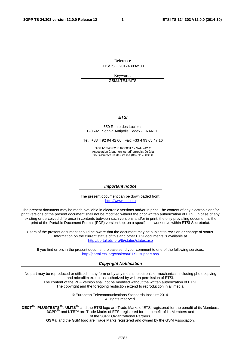Reference RTS/TSGC-0124303vc00

> Keywords GSM,LTE,UMTS

#### *ETSI*

#### 650 Route des Lucioles F-06921 Sophia Antipolis Cedex - FRANCE

Tel.: +33 4 92 94 42 00 Fax: +33 4 93 65 47 16

Siret N° 348 623 562 00017 - NAF 742 C Association à but non lucratif enregistrée à la Sous-Préfecture de Grasse (06) N° 7803/88

#### *Important notice*

The present document can be downloaded from: [http://www.etsi.org](http://www.etsi.org/)

The present document may be made available in electronic versions and/or in print. The content of any electronic and/or print versions of the present document shall not be modified without the prior written authorization of ETSI. In case of any existing or perceived difference in contents between such versions and/or in print, the only prevailing document is the print of the Portable Document Format (PDF) version kept on a specific network drive within ETSI Secretariat.

Users of the present document should be aware that the document may be subject to revision or change of status. Information on the current status of this and other ETSI documents is available at <http://portal.etsi.org/tb/status/status.asp>

If you find errors in the present document, please send your comment to one of the following services: [http://portal.etsi.org/chaircor/ETSI\\_support.asp](http://portal.etsi.org/chaircor/ETSI_support.asp)

#### *Copyright Notification*

No part may be reproduced or utilized in any form or by any means, electronic or mechanical, including photocopying and microfilm except as authorized by written permission of ETSI.

The content of the PDF version shall not be modified without the written authorization of ETSI. The copyright and the foregoing restriction extend to reproduction in all media.

> © European Telecommunications Standards Institute 2014. All rights reserved.

**DECT**TM, **PLUGTESTS**TM, **UMTS**TM and the ETSI logo are Trade Marks of ETSI registered for the benefit of its Members. **3GPP**TM and **LTE**™ are Trade Marks of ETSI registered for the benefit of its Members and of the 3GPP Organizational Partners.

**GSM**® and the GSM logo are Trade Marks registered and owned by the GSM Association.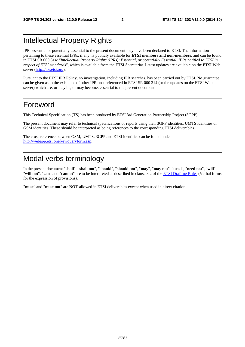# Intellectual Property Rights

IPRs essential or potentially essential to the present document may have been declared to ETSI. The information pertaining to these essential IPRs, if any, is publicly available for **ETSI members and non-members**, and can be found in ETSI SR 000 314: *"Intellectual Property Rights (IPRs); Essential, or potentially Essential, IPRs notified to ETSI in respect of ETSI standards"*, which is available from the ETSI Secretariat. Latest updates are available on the ETSI Web server [\(http://ipr.etsi.org](http://webapp.etsi.org/IPR/home.asp)).

Pursuant to the ETSI IPR Policy, no investigation, including IPR searches, has been carried out by ETSI. No guarantee can be given as to the existence of other IPRs not referenced in ETSI SR 000 314 (or the updates on the ETSI Web server) which are, or may be, or may become, essential to the present document.

### Foreword

This Technical Specification (TS) has been produced by ETSI 3rd Generation Partnership Project (3GPP).

The present document may refer to technical specifications or reports using their 3GPP identities, UMTS identities or GSM identities. These should be interpreted as being references to the corresponding ETSI deliverables.

The cross reference between GSM, UMTS, 3GPP and ETSI identities can be found under [http://webapp.etsi.org/key/queryform.asp.](http://webapp.etsi.org/key/queryform.asp)

# Modal verbs terminology

In the present document "**shall**", "**shall not**", "**should**", "**should not**", "**may**", "**may not**", "**need**", "**need not**", "**will**", "**will not**", "**can**" and "**cannot**" are to be interpreted as described in clause 3.2 of the [ETSI Drafting Rules](http://portal.etsi.org/Help/editHelp!/Howtostart/ETSIDraftingRules.aspx) (Verbal forms for the expression of provisions).

"**must**" and "**must not**" are **NOT** allowed in ETSI deliverables except when used in direct citation.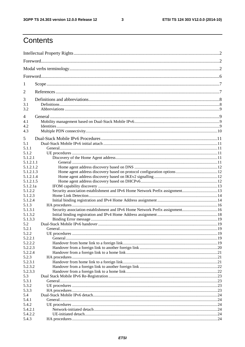$\mathbf{3}$ 

# Contents

| 1                      |                                                                               |  |
|------------------------|-------------------------------------------------------------------------------|--|
| 2                      |                                                                               |  |
| 3<br>3.1<br>3.2        |                                                                               |  |
| 4<br>4.1<br>4.2<br>4.3 |                                                                               |  |
| 5                      |                                                                               |  |
| 5.1<br>5.1.1<br>5.1.2  |                                                                               |  |
| 5.1.2.1<br>5.1.2.1.1   |                                                                               |  |
| 5.1.2.1.2              |                                                                               |  |
| 5.1.2.1.3<br>5.1.2.1.4 |                                                                               |  |
| 5.1.2.1.5              |                                                                               |  |
| 5.1.2.1a<br>5.1.2.2    |                                                                               |  |
| 5.1.2.3                |                                                                               |  |
| 5.1.2.4                |                                                                               |  |
| 5.1.3<br>5.1.3.1       | Security association establishment and IPv6 Home Network Prefix assignment 16 |  |
| 5.1.3.2                |                                                                               |  |
| 5.1.3.3                |                                                                               |  |
| 5.2                    |                                                                               |  |
| 5.2.1                  |                                                                               |  |
| 5.2.2                  | UE procedures                                                                 |  |
| 5.2.2.1                |                                                                               |  |
| 5.2.2.2                |                                                                               |  |
| 5.2.2.3                |                                                                               |  |
| 5.2.2.4<br>5.2.3       |                                                                               |  |
| 5.2.3.1                |                                                                               |  |
| 5.2.3.2                |                                                                               |  |
| 5.2.3.3                |                                                                               |  |
| 5.3                    |                                                                               |  |
| 5.3.1                  |                                                                               |  |
| 5.3.2                  |                                                                               |  |
| 5.3.3                  |                                                                               |  |
| 5.4                    |                                                                               |  |
| 5.4.1<br>5.4.2         |                                                                               |  |
| 5.4.2.1                |                                                                               |  |
| 5.4.2.2                |                                                                               |  |
| 5.4.3                  |                                                                               |  |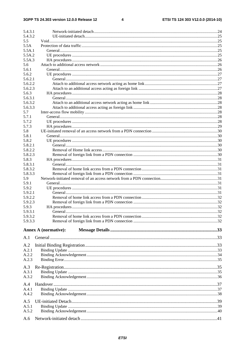$\overline{\mathbf{4}}$ 

| 5.4.3.1        |                             |  |
|----------------|-----------------------------|--|
| 5.4.3.2        |                             |  |
| 5.5            |                             |  |
| 5.5A<br>5.5A.1 |                             |  |
| 5.5A.2         |                             |  |
| 5.5A.3         |                             |  |
| 5.6            |                             |  |
| 5.6.1          |                             |  |
| 5.6.2          |                             |  |
| 5.6.2.1        |                             |  |
| 5.6.2.2        |                             |  |
| 5.6.2.3        |                             |  |
| 5.6.3          |                             |  |
| 5.6.3.1        |                             |  |
| 5.6.3.2        |                             |  |
| 5.6.3.3        |                             |  |
| 5.7            |                             |  |
| 5.7.1          |                             |  |
| 5.7.2          |                             |  |
| 5.7.3          |                             |  |
| 5.8            |                             |  |
| 5.8.1          |                             |  |
| 5.8.2          |                             |  |
| 5.8.2.1        |                             |  |
| 5.8.2.2        |                             |  |
| 5.8.2.3        |                             |  |
| 5.8.3          |                             |  |
| 5.8.3.1        |                             |  |
| 5.8.3.2        |                             |  |
| 5.8.3.3        |                             |  |
| 5.9            |                             |  |
| 5.9.1          |                             |  |
| 5.9.2          |                             |  |
| 5.9.2.1        |                             |  |
| 5.9.2.2        |                             |  |
| 5.9.2.3        |                             |  |
| 5.9.3          |                             |  |
| 5.9.3.1        | General.                    |  |
| 5.9.3.2        |                             |  |
| 5.9.3.3        |                             |  |
|                | <b>Annex A (normative):</b> |  |
| A.1            |                             |  |
| A.2            |                             |  |
| A.2.1          |                             |  |
| A.2.2          |                             |  |
| A.2.3          |                             |  |
|                |                             |  |
| A.3            |                             |  |
| A.3.1          |                             |  |
| A.3.2          |                             |  |
| A.4            |                             |  |
|                |                             |  |
| A.4.1<br>A.4.2 |                             |  |
|                |                             |  |
| A.5            |                             |  |
| A.5.1          |                             |  |
| A.5.2          |                             |  |
|                |                             |  |
| A.6            |                             |  |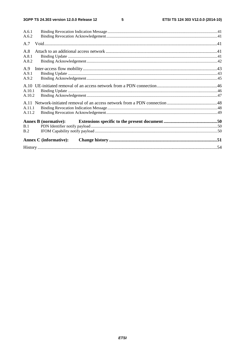$5\phantom{a}$ 

| <b>Annex C</b> (informative): |  |
|-------------------------------|--|
| B.2                           |  |
| B.1                           |  |
| <b>Annex B</b> (normative):   |  |
|                               |  |
| A.11.2                        |  |
| A.11.1                        |  |
|                               |  |
| A.10.2                        |  |
| A.10.1                        |  |
|                               |  |
| A.9.2                         |  |
| A.9.1                         |  |
| A.9                           |  |
| A.8.2                         |  |
| A.8.1                         |  |
| A.8                           |  |
| A.7                           |  |
| A.6.2                         |  |
| A.6.1                         |  |
|                               |  |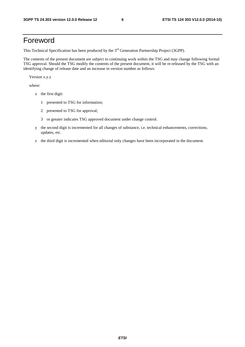# Foreword

This Technical Specification has been produced by the 3<sup>rd</sup> Generation Partnership Project (3GPP).

The contents of the present document are subject to continuing work within the TSG and may change following formal TSG approval. Should the TSG modify the contents of the present document, it will be re-released by the TSG with an identifying change of release date and an increase in version number as follows:

Version x.y.z

where:

- x the first digit:
	- 1 presented to TSG for information;
	- 2 presented to TSG for approval;
	- 3 or greater indicates TSG approved document under change control.
- y the second digit is incremented for all changes of substance, i.e. technical enhancements, corrections, updates, etc.
- z the third digit is incremented when editorial only changes have been incorporated in the document.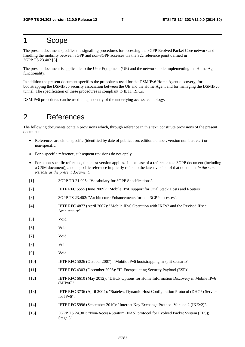### 1 Scope

The present document specifies the signalling procedures for accessing the 3GPP Evolved Packet Core network and handling the mobility between 3GPP and non-3GPP accesses via the S2c reference point defined in 3GPP TS 23.402 [3].

The present document is applicable to the User Equipment (UE) and the network node implementing the Home Agent functionality.

In addition the present document specifies the procedures used for the DSMIPv6 Home Agent discovery, for bootstrapping the DSMIPv6 security association between the UE and the Home Agent and for managing the DSMIPv6 tunnel. The specification of these procedures is compliant to IETF RFCs.

DSMIPv6 procedures can be used independently of the underlying access technology.

# 2 References

The following documents contain provisions which, through reference in this text, constitute provisions of the present document.

- References are either specific (identified by date of publication, edition number, version number, etc.) or non-specific.
- For a specific reference, subsequent revisions do not apply.
- For a non-specific reference, the latest version applies. In the case of a reference to a 3GPP document (including a GSM document), a non-specific reference implicitly refers to the latest version of that document *in the same Release as the present document*.
- [1] 3GPP TR 21.905: "Vocabulary for 3GPP Specifications".
- [2] IETF RFC 5555 (June 2009): "Mobile IPv6 support for Dual Stack Hosts and Routers".
- [3] 3GPP TS 23.402: "Architecture Enhancements for non-3GPP accesses".
- [4] IETF RFC 4877 (April 2007): "Mobile IPv6 Operation with IKEv2 and the Revised IPsec Architecture".
- [5] Void.
- [6] Void.
- [7] Void.
- [8] Void.
- [9] Void.
- [10] IETF RFC 5026 (October 2007): "Mobile IPv6 bootstrapping in split scenario".
- [11] IETF RFC 4303 (December 2005): "IP Encapsulating Security Payload (ESP)".
- [12] IETF RFC 6610 (May 2012): "DHCP Options for Home Information Discovery in Mobile IPv6 (MIPv6)".
- [13] IETF RFC 3736 (April 2004): "Stateless Dynamic Host Configuration Protocol (DHCP) Service for IPv6".
- [14] IETF RFC 5996 (September 2010): "Internet Key Exchange Protocol Version 2 (IKEv2)".
- [15] 3GPP TS 24.301: "Non-Access-Stratum (NAS) protocol for Evolved Packet System (EPS); Stage 3".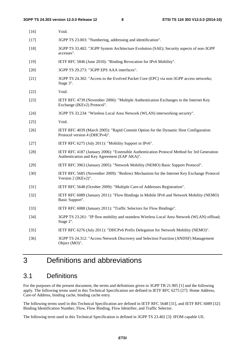| $[16]$ | Void.                                                                                                                                       |
|--------|---------------------------------------------------------------------------------------------------------------------------------------------|
| $[17]$ | 3GPP TS 23.003: "Numbering, addressing and identification".                                                                                 |
| $[18]$ | 3GPP TS 33.402: "3GPP System Architecture Evolution (SAE); Security aspects of non-3GPP<br>accesses".                                       |
| $[19]$ | IETF RFC 5846 (June 2010): "Binding Revocation for IPv6 Mobility".                                                                          |
| $[20]$ | 3GPP TS 29.273: "3GPP EPS AAA interfaces".                                                                                                  |
| $[21]$ | 3GPP TS 24.302: "Access to the Evolved Packet Core (EPC) via non-3GPP access networks;<br>Stage 3".                                         |
| $[22]$ | Void.                                                                                                                                       |
| $[23]$ | IETF RFC 4739 (November 2006): "Multiple Authentication Exchanges in the Internet Key<br>Exchange (IKEv2) Protocol".                        |
| $[24]$ | 3GPP TS 33.234: "Wireless Local Area Network (WLAN) interworking security".                                                                 |
| $[25]$ | Void.                                                                                                                                       |
| $[26]$ | IETF RFC 4039 (March 2005): "Rapid Commit Option for the Dynamic Host Configuration<br>Protocol version 4 (DHCPv4)".                        |
| $[27]$ | IETF RFC 6275 (July 2011): "Mobility Support in IPv6".                                                                                      |
| $[28]$ | IETF RFC 4187 (January 2006): "Extensible Authentication Protocol Method for 3rd Generation<br>Authentication and Key Agreement (EAP AKA)". |
| $[29]$ | IETF RFC 3963 (January 2005): "Network Mobility (NEMO) Basic Support Protocol".                                                             |
| $[30]$ | IETF RFC 5685 (November 2009): "Redirect Mechanism for the Internet Key Exchange Protocol<br>Version 2 (IKEv2)".                            |
| $[31]$ | IETF RFC 5648 (October 2009): "Multiple Care-of Addresses Registration".                                                                    |
| $[32]$ | IETF RFC 6089 (January 2011): "Flow Bindings in Mobile IPv6 and Network Mobility (NEMO)<br>Basic Support".                                  |
| $[33]$ | IETF RFC 6088 (January 2011): "Traffic Selectors for Flow Bindings".                                                                        |
| $[34]$ | 3GPP TS 23.261: "IP flow mobility and seamless Wireless Local Area Network (WLAN) offload;<br>Stage 2".                                     |
| $[35]$ | IETF RFC 6276 (July 2011): "DHCPv6 Prefix Delegation for Network Mobility (NEMO)".                                                          |
| $[36]$ | 3GPP TS 24.312: "Access Network Discovery and Selection Function (ANDSF) Management<br>Object (MO)".                                        |

# 3 Definitions and abbreviations

### 3.1 Definitions

For the purposes of the present document, the terms and definitions given in 3GPP TR 21.905 [1] and the following apply. The following terms used in this Technical Specification are defined in IETF RFC 6275 [27]: Home Address, Care-of Address, binding cache, binding cache entry.

The following terms used in this Technical Specification are defined in IETF RFC 5648 [31], and IETF RFC 6089 [32]: Binding Identification Number, Flow, Flow Binding, Flow Identifier, and Traffic Selector.

The following term used in this Technical Specification is defined in 3GPP TS 23.402 [3]: IFOM capable UE.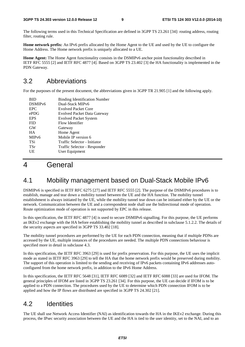The following terms used in this Technical Specification are defined in 3GPP TS 23.261 [34]: routing address, routing filter, routing rule.

**Home network prefix:** An IPv6 prefix allocated by the Home Agent to the UE and used by the UE to configure the Home Address. The Home network prefix is uniquely allocated to a UE.

**Home Agent:** The Home Agent functionality consists in the DSMIPv6 anchor point functionality described in IETF RFC 5555 [2] and IETF RFC 4877 [4]. Based on 3GPP TS 23.402 [3] the HA functionality is implemented in the PDN Gateway.

# 3.2 Abbreviations

For the purposes of the present document, the abbreviations given in 3GPP TR 21.905 [1] and the following apply.

| RID                 | <b>Binding Identification Number</b> |
|---------------------|--------------------------------------|
| DSMIP <sub>v6</sub> | Dual-Stack MIPv6                     |
| <b>EPC</b>          | <b>Evolved Packet Core</b>           |
| ePDG                | <b>Evolved Packet Data Gateway</b>   |
| <b>EPS</b>          | <b>Evolved Packet System</b>         |
| <b>FID</b>          | Flow Identifier                      |
| <b>GW</b>           | Gateway                              |
| <b>HA</b>           | Home Agent                           |
| MIP <sub>v</sub> 6  | Mobile IP version 6                  |
| <b>TSi</b>          | Traffic Selector - Initiator         |
| <b>TSr</b>          | Traffic Selector - Responder         |
| UE                  | User Equipment                       |
|                     |                                      |

# 4 General

### 4.1 Mobility management based on Dual-Stack Mobile IPv6

DSMIPv6 is specified in IETF RFC 6275 [27] and IETF RFC 5555 [2]. The purpose of the DSMIPv6 procedures is to establish, manage and tear down a mobility tunnel between the UE and the HA function. The mobility tunnel establishment is always initiated by the UE, while the mobility tunnel tear down can be initiated either by the UE or the network. Communication between the UE and a correspondent node shall use the bidirectional mode of operation. Route optimization mode of operation is not supported by EPC in this release.

In this specification, the IETF RFC 4877 [4] is used to secure DSMIPv6 signalling. For this purpose, the UE performs an IKEv2 exchange with the HA before establishing the mobility tunnel as described in subclause 5.1.2.2. The details of the security aspects are specified in 3GPP TS 33.402 [18].

The mobility tunnel procedures are performed by the UE for each PDN connection, meaning that if multiple PDNs are accessed by the UE, multiple instances of the procedures are needed. The multiple PDN connections behaviour is specified more in detail in subclause 4.3.

In this specification, the IETF RFC 3963 [29] is used for prefix preservation. For this purpose, the UE uses the implicit mode as stated in IETF RFC 3963 [29] to tell the HA that the home network prefix would be preserved during mobility. The support of this operation is limited to the sending and receiving of IPv6 packets containing IPv6 addresses autoconfigured from the home network prefix, in addition to the IPv6 Home Address.

In this specification, the IETF RFC 5648 [31], IETF RFC 6089 [32] and IETF RFC 6088 [33] are used for IFOM. The general principles of IFOM are listed in 3GPP TS 23.261 [34]. For this purpose, the UE can decide if IFOM is to be applied to a PDN connection. The procedures used by the UE to determine which PDN connection IFOM is to be applied and how the IP flows are distributed are specified in 3GPP TS 24.302 [21].

# 4.2 Identities

The UE shall use Network Access Identifier (NAI) as identification towards the HA in the IKEv2 exchange. During this process, the IPsec security association between the UE and the HA is tied to the user identity, set to the NAI, and to an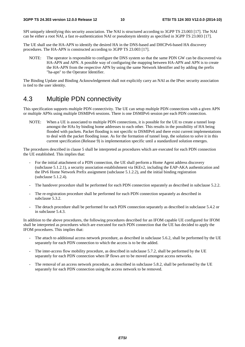SPI uniquely identifying this security association. The NAI is structured according to 3GPP TS 23.003 [17]. The NAI can be either a root NAI, a fast re-authentication NAI or pseudonym identity as specified in 3GPP TS 23.003 [17].

The UE shall use the HA-APN to identify the desired HA in the DNS-based and DHCPv6-based HA discovery procedures. The HA-APN is constructed according to 3GPP TS 23.003 [17].

NOTE: The operator is responsible to configure the DNS system so that the same PDN GW can be discovered via HA-APN and APN. A possible way of configuring the mapping between HA-APN and APN is to create the HA-APN from the respective APN by using the same Network Identifier and by adding the prefix "ha-apn" to the Operator Identifier.

The Binding Update and Binding Acknowledgement shall not explicitly carry an NAI as the IPsec security association is tied to the user identity.

### 4.3 Multiple PDN connectivity

This specification supports multiple PDN connectivity. The UE can setup multiple PDN connections with a given APN or multiple APNs using multiple DSMIPv6 sessions. There is one DSMIPv6 session per each PDN connection.

NOTE: When a UE is associated to multiple PDN connections, it is possible for the UE to create a tunnel loop amongst the HAs by binding home addresses to each other. This results in the possibility of HA being flooded with packets. Packet flooding is not specific to DSMIPv6 and there exist current implementations to deal with the packet flooding issue. As for the formation of tunnel loop, the solution to solve it in this current specification (Release 9) is implementation specific until a standardized solution emerges.

The procedures described in clause 5 shall be interpreted as procedures which are executed for each PDN connection the UE established. This implies that:

- For the initial attachment of a PDN connection, the UE shall perform a Home Agent address discovery (subclause 5.1.2.1), a security association establishment via IKEv2, including the EAP-AKA authentication and the IPv6 Home Network Prefix assignment (subclause 5.1.2.2), and the initial binding registration (subclause 5.1.2.4).
- The handover procedure shall be performed for each PDN connection separately as described in subclause 5.2.2.
- The re-registration procedure shall be performed for each PDN connection separately as described in subclause 5.3.2.
- The detach procedure shall be performed for each PDN connection separately as described in subclause 5.4.2 or in subclause 5.4.3.

In addition to the above procedures, the following procedures described for an IFOM capable UE configured for IFOM shall be interpreted as procedures which are executed for each PDN connection that the UE has decided to apply the IFOM procedures. This implies that:

- The attach to additional access network procedure, as described in subclause 5.6.2, shall be performed by the UE separately for each PDN connection to which the access is to be the added.
- The inter-access flow mobility procedure, as described in subclause 5.7.2, shall be performed by the UE separately for each PDN connection when IP flows are to be moved amongest access networks.
- The removal of an access network procedure, as described in subclause 5.8.2, shall be performed by the UE separately for each PDN connection using the access network to be removed.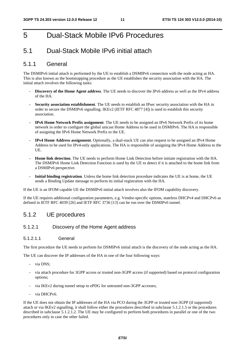# 5 Dual-Stack Mobile IPv6 Procedures

# 5.1 Dual-Stack Mobile IPv6 initial attach

### 5.1.1 General

The DSMIPv6 initial attach is performed by the UE to establish a DSMIPv6 connection with the node acting as HA. This is also known as the bootstrapping procedure as the UE establishes the security association with the HA. The initial attach involves the following tasks:

- **Discovery of the Home Agent address**. The UE needs to discover the IPv6 address as well as the IPv4 address of the HA.
- **Security association establishment**. The UE needs to establish an IPsec security association with the HA in order to secure the DSMIPv6 signalling. IKEv2 (IETF RFC 4877 [4]) is used to establish this security association.
- **IPv6 Home Network Prefix assignment**. The UE needs to be assigned an IPv6 Network Prefix of its home network in order to configure the global unicast Home Address to be used in DSMIPv6. The HA is responsible of assigning the IPv6 Home Network Prefix to the UE.
- **IPv4 Home Address assignment**. Optionally, a dual-stack UE can also request to be assigned an IPv4 Home Address to be used for IPv4-only applications. The HA is responsible of assigning the IPv4 Home Address to the UE.
- **Home link detection**. The UE needs to perform Home Link Detection before initiate registration with the HA. The DSMIPv6 Home Link Detection Function is used by the UE to detect if it is attached to the home link from a DSMIPv6 perspective.
- **Initial binding registration**. Unless the home link detection procedure indicates the UE is at home, the UE sends a Binding Update message to perform its initial registration with the HA.

If the UE is an IFOM capable UE the DSMIPv6 initial attach involves also the IFOM capability discovery.

If the UE requires additional configuration parameters, e.g. Vendor-specific options, stateless DHCPv4 and DHCPv6 as defined in IETF RFC 4039 [26] and IETF RFC 3736 [13] can be run over the DSMIPv6 tunnel.

### 5.1.2 UE procedures

### 5.1.2.1 Discovery of the Home Agent address

#### 5.1.2.1.1 General

The first procedure the UE needs to perform for DSMIPv6 initial attach is the discovery of the node acting as the HA.

The UE can discover the IP addresses of the HA in one of the four following ways:

- via DNS;
- via attach procedure for 3GPP access or trusted non-3GPP access (if supported) based on protocol configuration options;
- via IKEv2 during tunnel setup to ePDG for untrusted non-3GPP accesses;
- via DHCPv6.

If the UE does not obtain the IP addresses of the HA via PCO during the 3GPP or trusted non-3GPP (if supported) attach or via IKEv2 signalling, it shall follow either the procedures described in subclause 5.1.2.1.5 or the procedures described in subclause 5.1.2.1.2. The UE may be configured to perform both procedures in parallel or one of the two procedures only in case the other failed.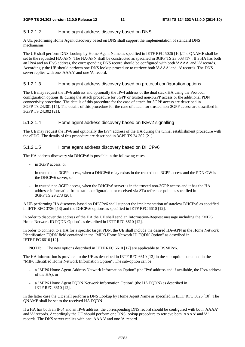#### 5.1.2.1.2 Home agent address discovery based on DNS

A UE performing Home Agent discovery based on DNS shall support the implementation of standard DNS mechanisms.

The UE shall perform DNS Lookup by Home Agent Name as specified in IETF RFC 5026 [10].The QNAME shall be set to the requested HA-APN. The HA-APN shall be constructed as specified in 3GPP TS 23.003 [17]. If a HA has both an IPv4 and an IPv6 address, the corresponding DNS record should be configured with both 'AAAA' and 'A' records. Accordingly the UE should perform one DNS lookup procedure to retrieve both 'AAAA' and 'A' records. The DNS server replies with one 'AAAA' and one 'A' record.

#### 5.1.2.1.3 Home agent address discovery based on protocol configuration options

The UE may request the IPv6 address and optionally the IPv4 address of the dual stack HA using the Protocol configuration options IE during the attach procedure for 3GPP or trusted non-3GPP access or the additional PDN connectivity procedure. The details of this procedure for the case of attach for 3GPP access are described in 3GPP TS 24.301 [15]. The details of this procedure for the case of attach for trusted non-3GPP access are described in 3GPP TS 24.302 [21].

#### 5.1.2.1.4 Home agent address discovery based on IKEv2 signalling

The UE may request the IPv6 and optionally the IPv4 address of the HA during the tunnel establishment procedure with the ePDG. The details of this procedure are described in 3GPP TS 24.302 [21].

#### 5.1.2.1.5 Home agent address discovery based on DHCPv6

The HA address discovery via DHCPv6 is possible in the following cases:

- in 3GPP access, or
- in trusted non-3GPP access, when a DHCPv6 relay exists in the trusted non-3GPP access and the PDN GW is the DHCPv6 server, or
- in trusted non-3GPP access, when the DHCPv6 server is in the trusted non-3GPP access and it has the HA addresse information from static configuration, or received via STa reference point as specified in 3GPP TS 29.273 [20].

A UE performing HA discovery based on DHCPv6 shall support the implementation of stateless DHCPv6 as specified in IETF RFC 3736 [13] and the DHCPv6 options as specified in IETF RFC 6610 [12].

In order to discover the address of the HA the UE shall send an Information-Request message including the "MIP6 Home Network ID FQDN Option" as described in IETF RFC 6610 [12].

In order to connect to a HA for a specific target PDN, the UE shall include the desired HA-APN in the Home Network Identification FQDN field contained in the "MIP6 Home Network ID FQDN Option" as described in IETF RFC 6610 [12].

NOTE: The new options described in IETF RFC 6610 [12] are applicable to DSMIPv6.

The HA information is provided to the UE as described in IETF RFC 6610 [12] in the sub-option contained in the "MIP6 Identified Home Network Information Option". The sub-option can be:

- a "MIP6 Home Agent Address Network Information Option" (the IPv6 address and if available, the IPv4 address of the HA); or
- a "MIP6 Home Agent FQDN Network Information Option" (the HA FQDN) as described in IETF RFC 6610 [12].

In the latter case the UE shall perform a DNS Lookup by Home Agent Name as specified in IETF RFC 5026 [10]. The QNAME shall be set to the received HA FQDN.

If a HA has both an IPv4 and an IPv6 address, the corresponding DNS record should be configured with both 'AAAA' and 'A' records. Accordingly the UE should perform one DNS lookup procedure to retrieve both 'AAAA' and 'A' records. The DNS server replies with one 'AAAA' and one 'A' record.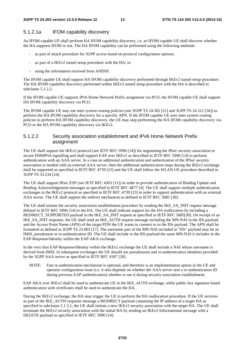#### 5.1.2.1a IFOM capability discovery

An IFOM capable UE shall perform HA IFOM capability discovery, i.e. an IFOM capable UE shall discover whether the HA supports IFOM or not. The HA IFOM capability can be performed using the following methods:

- as part of attach procedure for 3GPP access based on protocol configuration options;
- as part of a IKEv2 tunnel setup procedure with the HA; or
- using the information received from ANDSF.

The IFOM capable UE shall support HA IFOM capability discovery performed through IKEv2 tunnel setup procedure. The HA IFOM capability discovery performed within IKEv2 tunnel setup procedure with the HA is described in subclause 5.1.2.2.

If the IFOM capable UE supports IPv6 Home Network Prefix assignment via PCO, the IFOM capable UE shall support HA IFOM capability discovery via PCO.

The IFOM capable UE may use inter system routing policies (see 3GPP TS 24.302 [21] and 3GPP TS 24.312 [36]) to perform the HA IFOM capability discovery for a specific APN. If the IFOM capable UE uses inter system routing policies to perform HA IFOM capability discovery, the UE may skip performing the HA IFOM capability discovery via PCO or the HA IFOM capability discovery via IKEv2.

#### 5.1.2.2 Security association establishment and IPv6 Home Network Prefix assignment

The UE shall support the IKEv2 protocol (see IETF RFC 5996 [14]) for negotiating the IPsec security association to secure DSMIPv6 signalling and shall support EAP over IKEv2 as described in IETF RFC 5996 [14] to perform authentication with an AAA server. In a case an additional authentication and authorization of the IPSec security association is needed with an external AAA server, then the additional authentication steps during the IKEv2 exchange shall be supported as specified in IETF RFC 4739 [23] and the UE shall follow the WLAN UE procedure described in 3GPP TS 33.234 [24].

The UE shall support IPsec ESP (see IETF RFC 4303 [11]) in order to provide authentication of Binding Update and Binding Acknowledgement messages as specified in IETF RFC 4877 [4]. The UE shall support multiple authentication exchanges in the IKEv2 protocol as specified in IETF RFC 4739 [23] in order to support authentication with an external AAA server. The UE shall support the redirect mechanism as defined in IETF RFC 5685 [30].

The UE shall initiate the security association establishment procedure by sending the IKE\_SA\_INIT request message defined in IETF RFC 5996 [14] to the HA. The UE shall indicate support for the HA reallocation by including a REDIRECT\_SUPPORTED payload in the IKE\_SA\_INIT request as specified in IETF RFC 5685[30]. On receipt of an IKE\_SA\_INIT response, the UE shall send an IKE\_AUTH request message including the MN-NAI in the IDi payload and the Access Point Name (APN) of the target PDN the UE wants to connect to in the IDr payload. The APN shall be formatted as defined in 3GPP TS 23.003 [17]. The username part of the MN-NAI included in "IDi" payload may be an IMSI, pseudonym or re-authentication ID. The UE shall include in the IDi payload the same MN-NAI it includes in the EAP-Response/Identity within the EAP-AKA exchange.

In the very first EAP-Response/Identity within the IKEv2 exchange the UE shall include a NAI whose username is derived from IMSI. In subsequent exchanges the UE should use pseudonyms and re-authentication identities provided by the 3GPP AAA server as specified in IETF RFC 4187 [28].

NOTE: Fast re-authentication mechanism is optional, and therefore is an implementation option in the UE and operator configuration issue (i.e. it also depends on whether the AAA server sent a re-authentication ID during previous EAP authentication) whether to use it during security association establishment.

EAP-AKA over IKEv2 shall be used to authenticate UE in the IKE\_AUTH exchange, while public key signature based authentication with certificates shall be used to authenticate the HA.

During the IKEv2 exchange, the HA may trigger the UE to perform the HA reallocation procedure. If the UE receives as part of the IKE\_AUTH response message a REDIRECT payload containing the IP address of a target HA as specified in subclause 5.1.3.1, the UE shall initiate a new IKEv2 security association with the target HA. The UE shall terminate the IKEv2 security association with the initial HA by sending an IKEv2 Informational message with a DELETE payload as specified in IETF RFC 5996 [14].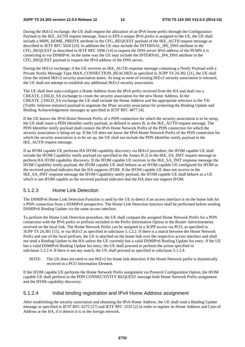During the IKEv2 exchange, the UE shall request the allocation of an IPv6 home prefix through the Configuration Payload in the IKE\_AUTH request message. Since in EPS a unique IPv6 prefix is assigned to the UE, the UE shall include a MIP6\_HOME\_PREFIX attribute in the CFG\_REQUEST payload of the IKE\_AUTH request message as described in IETF RFC 5026 [10]. In addition the UE may include the INTERNAL\_IP6\_DNS attribute in the CFG\_REQUEST as described in IETF RFC 5996 [14] to request the DNS server IPv6 address of the PLMN it is connecting to via DSMIPv6. In the same way the UE may include the INTERNAL\_IP4\_DNS attribute in the CFG\_REQUEST payload to request the IPv4 address of the DNS server.

During the IKEv2 exchange, if the UE receives an IKE\_AUTH response message containing a Notify Payload with a Private Notify Message Type MAX\_CONNECTION\_REACHED as specified in 3GPP TS 24.302 [21], the UE shall close the related IKEv2 security association states. As long as none of existing IKEv2 security association is released, the UE shall not attempt to establish any additional IKEv2 security association.

The UE shall then auto-configure a Home Address from the IPv6 prefix received from the HA and shall run a CREATE\_CHILD\_SA exchange to create the security association for the new Home Address. In the CREATE\_CHILD\_SA exchange the UE shall include the Home Address and the appropriate selectors in the TSi (Traffic Selector-initiator) payload to negotiate the IPsec security association for protecting the Binding Update and Binding Acknowledgement messages as specified in IETF RFC 4877 [4].

If the UE knows the IPv6 Home Network Prefix of a PDN connection for which the security association is to be setup, the UE shall insert a PDN Identifier notify payload, as defined in annex B, in the IKE\_AUTH request message. The PDN Identifier notify payload shall contain the IPv6 Home Network Prefix of the PDN connection for which the security association is being set up. If the UE does not know the IPv6 Home Network Prefix of the PDN connection for which the security association is to be set up, the UE shall not include the PDN Identifier notify payload in the IKE\_AUTH request message.

If an IFOM capable UE performs HA IFOM capability discovery via IKEv2 procedure, the IFOM capable UE shall include the IFOM Capability notify payload (as specified in the Annex B.2) in the IKE\_SA\_INIT request message to perform HA IFOM capability discovery. If the IFOM capable UE receives in the IKE\_SA\_INIT response message the IFOM Capability notify payload, the IFOM capable UE shall behave as an IFOM capable UE configured for IFOM as the received payload indicates that the HA supports IFOM. If the IFOM capable UE does not receive in the IKE\_SA\_INIT response message the IFOM Capability notify payload, the IFOM capable UE shall behave as a UE which is not IFOM capable as the received payload indicates that the HA does not support IFOM.

#### 5.1.2.3 Home Link Detection

The DSMIPv6 Home Link Detection Function is used by the UE to detect if an access interface is on the home link for a PDN connection from a DSMIPv6 perspective. The Home Link Detection function shall be performed before sending DSMIPv6 Binding Update via the same access interface.

To perform the Home Link Detection procedure, the UE shall compare the assigned Home Network Prefix for a PDN connection with the IPv6 prefix or prefixes included in the Prefix Information Option in the Router Advertisements received on the local link. The Home Network Prefix can be assigned in a 3GPP access via PCO, as specified in 3GPP TS 24.301 [15], or via IKEv2 as specified in subclause 5.1.2.2. If there is a match between the Home Network Prefix and one of the local prefixes, the UE is attached on the home link over the respective access interface and shall not send a Binding Update to the HA unless the UE currently has a valid DSMIPv6 Binding Update list entry. If the UE has a valid DSMIPv6 Binding Update list entry, the UE shall proceed to perform the action specified in subclause 5.2.2.4. If there is not any match, the UE shall proceed as specified in subclause 5.1.2.4.

NOTE: The UE does not need to run IKEv2 for home link detection if the Home Network prefix is dynamically received in a PCO Information Element.

If the IFOM capable UE performs the Home Network Prefix assignment via Protocol Configuration Option, the IFOM capable UE shall perform in the PDN CONNECTIVITY REQUEST message both Home Network Prefix assignment and the IFOM capability discovery.

#### 5.1.2.4 Initial binding registration and IPv4 Home Address assignment

After establishing the security association and obtaining the IPv6 Home Address, the UE shall send a Binding Update message as specified in IETF RFC 6275 [27] and IETF RFC 5555 [2] in order to register its Home Address and Care-of Address at the HA, if it detects it is in the foreign network.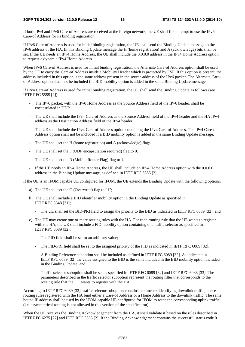If both IPv4 and IPv6 Care-of Address are received at the foreign network, the UE shall first attempt to use the IPv6 Care-of Address for its binding registration.

If IPv6 Care-of Address is used for initial binding registration, the UE shall send the Binding Update message to the IPv6 address of the HA. In this Binding Update message the H (home registration) and A (acknowledge) bits shall be set. If the UE needs an IPv4 Home Address, the UE shall include the 0.0.0.0 address in the IPv4 Home Address option to request a dynamic IPv4 Home Address.

When IPv6 Care-of Address is used for initial binding registration, the Alternate Care-of Address option shall be used by the UE to carry the Care-of Address inside a Mobility Header which is protected by ESP. If this option is present, the address included in this option is the same address present in the source address of the IPv6 packet. The Alternate Careof Address option shall not be included if a BID mobility option is added in the same Binding Update message.

If IPv4 Care-of Address is used for initial binding registration, the UE shall send the Binding Update as follows (see IETF RFC 5555 [2]):

- The IPv6 packet, with the IPv6 Home Address as the Source Address field of the IPv6 header, shall be encapsulated in UDP.
- The UE shall include the IPv4 Care-of Address as the Source Address field of the IPv4 header and the HA IPv4 address as the Destination Address field of the IPv4 header.
- The UE shall include the IPv4 Care-of Address option containing the IPv4 Care-of Address. The IPv4 Care-of Address option shall not be included if a BID mobility option is added in the same Binding Update message.
- The UE shall set the H (home registration) and A (acknowledge) flags.
- The UE shall set the F (UDP encapsulation required) flag to 0.
- The UE shall set the R (Mobile Router Flag) flag to 1.
- If the UE needs an IPv4 Home Address, the UE shall include an IPv4 Home Address option with the 0.0.0.0 address in the Binding Update message, as defined in IETF RFC 5555 [2].

If the UE is an IFOM capable UE configured for IFOM, the UE extends the Binding Update with the following options:

- a) The UE shall set the O (Overwrite) flag to "1";
- b) The UE shall include a BID identifier mobility option in the Binding Update as specified in IETF RFC 5648 [31];
	- The UE shall set the BID-PRI field to assign the priority to the BID as indicated in IETF RFC 6089 [32]; and
- c) The UE may create one or more routing rules with the HA. For each routing rule that the UE wants to register with the HA, the UE shall include a FID mobility option containing one traffic selector as specified in IETF RFC 6089 [32].
	- The FID field shall be set to an arbitrary value;
	- The FID-PRI field shall be set to the assigned priority of the FID as indicated in IETF RFC 6089 [32];
	- A Binding Reference suboption shall be included as defined in IETF RFC 6089 [32]. As indicated in IETF RFC 6089 [32] the value assigned to the BID is the same included in the BID mobility option included in the Binding Update; and
	- Traffic selector suboption shall be set as specified in IETF RFC 6089 [32] and IETF RFC 6088 [33]. The parameters described in the traffic selector suboption represent the routing filter that corresponds to the routing rule that the UE wants to register with the HA.

According to IETF RFC 6089 [32], traffic selector suboption contains parameters identifying downlink traffic, hence routing rules registered with the HA bind either a Care-of Address or a Home Address to the downlink traffic. The same bound IP address shall be used by the IFOM capable UE configured for IFOM to route the corresponding uplink traffic (i.e. asymmetrical routing is not allowed in this version of the specification).

When the UE receives the Binding Acknowledgement from the HA, it shall validate it based on the rules described in IETF RFC 6275 [27] and IETF RFC 5555 [2]. If the Binding Acknowledgement contains the successful status code 0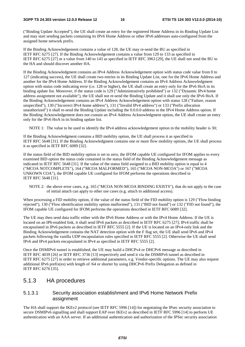("Binding Update Accepted"), the UE shall create an entry for the registered Home Address in its Binding Update List and may start sending packets containing its IPv6 Home Address or other IPv6 addresses auto-configured from the assigned home network prefix.

If the Binding Acknowledgement contains a value of 128, the UE may re-send the BU as specified in IETF RFC 6275 [27]. If the Binding Acknowledgement contains a value from 129 to 133 as specified in IETF RFC 6275 [27] or a value from 140 to 143 as specified in IETF RFC 3963 [29], the UE shall not send the BU to the HA and should discover another HA.

If the Binding Acknowledgment contains an IPv4 Address Acknowledgement option with status code value from 0 to 127 (indicating success), the UE shall create two entries in its Binding Update List, one for the IPv6 Home Address and another for the IPv4 Home Address. If the Binding Acknowledgement contains an IPv4 Address Acknowledgment option with status code indicating error (i.e. 128 or higher), the UE shall create an entry only for the IPv6 HoA in its binding update list. Moreover, if the status code is 129 ("Administratively prohibited") or 132 ("Dynamic IPv4 home address assignment not available"), the UE shall not re-send the Binding Update and it shall use only the IPv6 HoA. If the Binding Acknowledgement contains an IPv4 Address Acknowledgement option with status 128 ("Failure, reason unspecified"), 130 ("Incorrect IPv4 home address"), 131 ("Invalid IPv4 address") or 133 ("Prefix allocation unauthorized") it shall re-send the Binding Update including the 0.0.0.0 address in the IPv4 Home Address option. If the Binding Acknowledgement does not contain an IPv4 Address Acknowledgment option, the UE shall create an entry only for the IPv6 HoA in its binding update list.

NOTE 1: The value to be used to identify the IPv4 address acknowledgement option in the mobility header is 30;

If the Binding Acknowledgment contains a BID mobility option, the UE shall process it as specified in IETF RFC 5648 [31]. If the Binding Acknowledgment contains one or more flow mobility options, the UE shall process it as specified in IETF RFC 6089 [32].

If the status field of the BID mobility option is set to zero, the IFOM capable UE configured for IFOM applies to every examined BID option the status code contained in the status field of the Binding Acknowledgement message as indicated in IETF RFC 5648 [31]. If the value of the status field assigned to a BID mobility option is equal to 4 ("MCOA NOTCOMPLETE"), 164 ("MCOA MALFORMED"), 165 ("MCOA NON-MCOA") or 167 ("MCOA UNKOWN COA"), the IFOM capable UE configured for IFOM performs the operations described in IETF RFC 5648 [31].

NOTE 2: the above error cases, e.g. 165 ("MCOA NON-MCOA BINDING EXISTS"), that do not apply to the case of initial attach can apply to other use cases (e.g. attach to additional access).

When processing a FID mobility option, if the value of the status field of the FID mobility option is 129 ("Flow binding rejected"), 130 ("Flow identification mobility option malformed"), 131 ("BID not found") or 132 ("FID not found"), the IFOM capable UE configured for IFOM performs the operations described in IETF RFC 6089 [32].

The UE may then send data traffic either with the IPv6 Home Address or with the IPv4 Home Address. If the UE is located on an IP6-enabled link, it shall send IPv6 packets as described in IETF RFC 6275 [27]; IPv4 traffic shall be encapsulated in IPv6 packets as described in IETF RFC 5555 [2]. If the UE is located on an IPv4-only link and the Binding Acknowledgement contains the NAT detection option with the F flag set, the UE shall send IPv6 and IPv4 packets following the vanilla UDP encapsulation rules specified in IETF RFC 5555 [2]. Otherwise the UE shall send IPv6 and IPv4 packets encapsulated in IPv4 as specified in IETF RFC 5555 [2].

Once the DSMIPv6 tunnel is established, the UE may build a DHCPv4 or DHCPv6 message as described in IETF RFC 4039 [26] or IETF RFC 3736 [13] respectively and send it via the DSMIPv6 tunnel as described in IETF RFC 6275 [27] in order to retrieve additional parameters, e.g. Vendor-specific options. The UE may also request additional IPv6 prefix(es) with length of /64 or shorter by using DHCPv6 Prefix Delegation as defined in IETF RFC 6276 [35].

### 5.1.3 HA procedures

#### 5.1.3.1 Security association establishment and IPv6 Home Network Prefix assignment

The HA shall support the IKEv2 protocol (see IETF RFC 5996 [14]) for negotiating the IPsec security association to secure DSMIPv6 signalling and shall support EAP over IKEv2 as described in IETF RFC 5996 [14] to perform UE authentication with an AAA server. If an additional authentication and authorization of the IPSec security association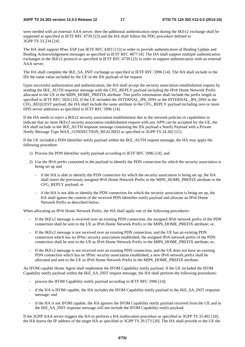were needed with an external AAA server, then the additional authentication steps during the IKEv2 exchange shall be supported as specified in IETF RFC 4739 [23] and the HA shall follow the PDG procedure defined in 3GPP TS 33.234 [24].

The HA shall support IPsec ESP (see IETF RFC 4303 [11]) in order to provide authentication of Binding Update and Binding Acknowledgement messages as specified in IETF RFC 4877 [4]. The HA shall support multiple authentication exchanges in the IKEv2 protocol as specified in IETF RFC 4739 [23] in order to support authentication with an external AAA server.

The HA shall complete the IKE\_SA\_INIT exchange as specified in IETF RFC 5996 [14]. The HA shall include in the IDr the same value included by the UE in the IDr payload of the request.

Upon successful authorization and authentication, the HA shall accept the security association establishment request by sending the IKE\_AUTH response message with the CFG\_REPLY payload including the IPv6 Home Network Prefix allocated to the UE in the MIP6\_HOME\_PREFIX attribute. This prefix information shall include the prefix length as specified in IETF RFC 5026 [10]. If the UE included the INTERNAL IP6 DNS or the INTERNAL IP4 DNS in the CFG\_REQUEST payload, the HA shall include the same attribute in the CFG\_REPLY payload including zero or more DNS server addresses as specified in IETF RFC 5996 [14].

If the HA needs to reject a IKEv2 security association establishment due to the network policies or capabilities to indicate that no more IKEv2 security association establishment request with any APN can be accepted for the UE, the HA shall include in the IKE\_AUTH response message containing the IDr payload a Notify Payload with a Private Notify Message Type MAX\_CONNECTION\_REACHED as specified in 3GPP TS 24.302 [21].

If the UE included a PDN Identifier notify payload within the IKE\_AUTH request message, the HA may apply the following procedure:

- 1) Process the PDN Identifier notify payload according to IETF RFC 5996 [14]; and
- 2) Use the IPv6 prefix contained in the payload to identify the PDN connection for which the security association is being set up and
	- if the HA is able to identify the PDN connection for which the security association is being set up, the HA shall insert the previously assigned IPv6 Home Network Prefix in the MIP6\_HOME\_PREFIX attribute in the CFG\_REPLY payload; or
	- if the HA is not able to identify the PDN connection for which the security association is being set up, the HA shall ignore the content of the received PDN Identifier notify payload and allocate an IPv6 Home Network Prefix as described below.

When allocating an IPv6 Home Network Prefix, the HA shall apply one of the following procedures:

- If the IKEv2 message is received over an existing PDN connection, the assigned IPv6 network prefix of the PDN connection shall be sent to the UE as IPv6 Home Network Prefix in the MIP6\_HOME\_PREFIX attribute; or,
- If the IKEv2 message is not received over an existing PDN connection, and the UE has an existing PDN connection which has no IPSec security association established, the assigned IPv6 network prefix of the PDN connection shall be sent to the UE as IPv6 Home Network Prefix in the MIP6\_HOME\_PREFIX attribute; or,
- If the IKEv2 message is not received over an existing PDN connection, and the UE does not have an existing PDN connection which has no IPSec security association established, a new IPv6 network prefix shall be allocated and sent to the UE as IPv6 Home Network Prefix in the MIP6\_HOME\_PREFIX attribute.

An IFOM capable Home Agent shall implement the IFOM Capability notify payload. If the UE included the IFOM Capability notify payload within the IKE\_SA\_INIT request message, the HA shall perform the following procedures:

- process the IFOM Capability notify payload according to IETF RFC 5996 [14];
- if the HA is IFOM capable, the HA includes the IFOM Capability notify payload in the IKE\_SA\_INIT response message; and
- if the HA is not IFOM capable, the HA ignores the IFOM Capability notify payload received from the UE and in the IKE\_SA\_INIT response message will not include the IFOM Capability notify payload.

If the 3GPP AAA server triggers the HA to perform a HA reallocation procedure as specified in 3GPP TS 33.402 [18], the HA learns the IP address of the target HA as specified in 3GPP TS 29.273 [20]. The HA shall provide to the UE the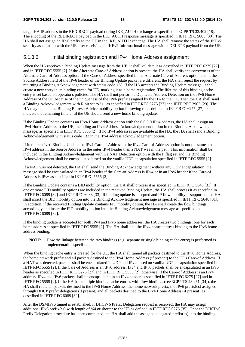target HA IP address in the REDIRECT payload during IKE\_AUTH exchange as specified in 3GPP TS 33.402 [18]. The encoding of the REDIRECT payload in the IKE\_AUTH response message is specified in IETF RFC 5685 [30]. The HA shall not assign an IPv6 prefix to the UE in the IKE\_AUTH exchange. The HA shall remove the states of the IKEv2 security association with the UE after receiving an IKEv2 Informational message with a DELETE payload from the UE.

#### 5.1.3.2 Initial binding registration and IPv4 Home Address assignment

When the HA receives a Binding Update message from the UE, it shall validate it as described in IETF RFC 6275 [27] and in IETF RFC 5555 [2]. If the Alternate Care-of Address option is present, the HA shall verify the correctness of the Alternate Care-of Address option. If the Care-of Address specified in the Alternate Care-of Address option and in the Source Address field of the IPv6 header of the Binding Update packet are different, the HA shall reject the request by returning a Binding Acknowledgement with status code 128. If the HA accepts the Binding Update message, it shall create a new entry in its binding cache for UE, marking it as a home registration. The lifetime of this binding cache entry is set based on operator's policies. The HA shall not perform a Duplicate Address Detection on the IPv6 Home Address of the UE because of the uniqueness of the IPv6 prefix assigned by the HA to the UE. Then the HA shall send a Binding Acknowledgement with R bit set to "1" as specified in IETF RFC 6275 [27] and IETF RFC 3963 [29]. The HA may include the Binding Refresh Advice mobility option following rules defined in IETF RFC 6275 [27] to indicate the remaining time until the UE should send a new home binding update.

If the Binding Update contains an IPv4 Home Address option with the 0.0.0.0 IPv4 address, the HA shall assign an IPv4 Home Address to the UE, including an IPv4 Address Acknowledgement option in the Binding Acknowledgement message, as specified in IETF RFC 5555 [2]. If no IPv4 addresses are available at the HA, the HA shall send a Binding Acknowledgement with status code 132 in the IPv4 address acknowledgement option.

If in the received Binding Update the IPv4 Care-of Address in the IPv4 Care-of Address option is not the same as the IPv4 address in the Source Address in the outer IPv4 header then a NAT was in the path. This information shall be included in the Binding Acknowledgement within a NAT Detection option with the F flag set and the Binding Acknowledgement shall be encapsulated based on the vanilla UDP encapsulation specified in IETF RFC 5555 [2].

If a NAT was not detected, the HA shall send the Binding Acknowledgement without any UDP encapsulation; the message shall be encapsulated in an IPv4 header if the Care-of Address is IPv4 or in an IPv6 header if the Care-of Address is IPv6 as specified in IETF RFC 5555 [2].

If the Binding Update contains a BID mobility option, the HA shall process it as specified in IETF RFC 5648 [31]. If one or more FID mobility options are included in the received Binding Update, the HA shall process it as specified in IETF RFC 6089 [32] and IETF RFC 6088 [33]. If binding update is accepted and IP flow mobility is supported, the HA shall insert the BID mobility option into the Binding Acknowledgement message as specified in IETF RFC 5648 [31]. In addition, if the received Binding Update contains FID mobility option, the HA shall create the flow bindings accordingly and insert the FID mobility option into the Binding Acknowledgement message as specified in IETF RFC 6089 [32].

If the binding update is accepted for both IPv4 and IPv6 home addresses, the HA creates two bindings, one for each home address as specified in IETF RFC 5555 [2]. The HA shall link the IPv4 home address binding to the IPv6 home address binding.

NOTE: How the linkage between the two bindings (e.g. separate or single binding cache entry) is performed is implementation specific.

When the binding cache entry is created for the UE, the HA shall tunnel all packets destined to the IPv6 Home Address, the home network prefix and all packets destined to the IPv4 Home Address (if present) to the UE's Care-of Address. If a NAT was detected, packets shall be encapsulated in UDP and IPv4 based on vanilla UDP encapsulation specified in IETF RFC 5555 [2]. If the Care-of Address is an IPv6 address, IPv4 and IPv6 packets shall be encapsulated in an IPv6 header as specified in IETF RFC 6275 [27] and in IETF RFC 5555 [2]; otherwise, if the Care-of Address is an IPv4 address, IPv4 and IPv6 packets shall be encapsulated in an IPv4 header as specified in IETF RFC 6275 [27] and in IETF RFC 5555 [2]. If the HA has multiple binding cache entries with flow bindings (see 3GPP TS 23.261 [34]), the HA shall route all packets destined to the IPv6 Home Address, the home network prefix, the IPv6 prefix(es) assigned through DHCP prefix delegation (if present) and all packets destined to the IPv4 Home Address (if present) as described in IETF RFC 6089 [32].

After the DSMIPv6 tunnel is established, if DHCPv6 Prefix Delegation request is received, the HA may assign additional IPv6 prefix(es) with length of /64 or shorter to the UE as defined in IETF RFC 6276 [35]. Once the DHCPv6 Prefix Delegation procedure has been completed, the HA shall add the assigned delegated prefix(es) into the binding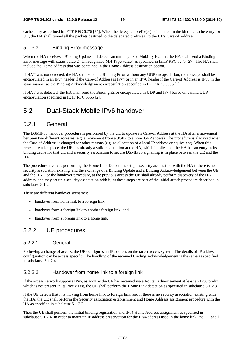cache entry as defined in IETF RFC 6276 [35]. When the delegated prefix(es) is included in the binding cache entry for UE, the HA shall tunnel all the packets destined to the delegated prefix(es) to the UE's Care-of Address.

### 5.1.3.3 Binding Error message

When the HA receives a Binding Update and detects an unrecognized Mobility Header, the HA shall send a Binding Error message with status value 2 "Unrecognized MH Type value" as specified in IETF RFC 6275 [27]. The HA shall include the Home address that was contained in the Home Address destination option.

If NAT was not detected, the HA shall send the Binding Error without any UDP encapsulation; the message shall be encapsulated in an IPv4 header if the Care-of Address is IPv4 or in an IPv6 header if the Care-of Address is IPv6 in the same manner as the Binding Acknowledgement encapsulation specified in IETF RFC 5555 [2].

If NAT was detected, the HA shall send the Binding Error encapsulated in UDP and IPv4 based on vanilla UDP encapsulation specified in IETF RFC 5555 [2].

### 5.2 Dual-Stack Mobile IPv6 handover

### 5.2.1 General

The DSMIPv6 handover procedure is performed by the UE to update its Care-of Address at the HA after a movement between two different accesses (e.g. a movement from a 3GPP to a non-3GPP access). The procedure is also used when the Care-of Address is changed for other reasons (e.g. re-allocation of a local IP address or equivalent). When this procedure takes place, the UE has already a valid registration at the HA, which implies that the HA has an entry in its binding cache for that UE and a security association to secure DSMIPv6 signalling is in place between the UE and the HA.

The procedure involves performing the Home Link Detection, setup a security association with the HA if there is no security association existing, and the exchange of a Binding Update and a Binding Acknowledgement between the UE and the HA. For the handover procedure, at the previous access the UE shall already perform discovery of the HA address, and may set up a security association with it, as these steps are part of the initial attach procedure described in subclause 5.1.2.

There are different handover scenarios:

- handover from home link to a foreign link;
- handover from a foreign link to another foreign link; and
- handover from a foreign link to a home link.

### 5.2.2 UE procedures

#### 5.2.2.1 General

Following a change of access, the UE configures an IP address on the target access system. The details of IP address configuration can be access specific. The handling of the received Binding Acknowledgement is the same as specified in subclause 5.1.2.4.

### 5.2.2.2 Handover from home link to a foreign link

If the access network supports IPv6, as soon as the UE has received via a Router Advertisement at least an IPv6 prefix which is not present in its Prefix List, the UE shall perform the Home Link detection as specified in subclause 5.1.2.3.

If the UE detects that it is moving from home link to foreign link, and if there is no security association existing with the HA, the UE shall perform the Security association establishment and Home Address assignment procedure with the HA as specified in subclause 5.1.2.2.

Then the UE shall perform the initial binding registration and IPv4 Home Address assignment as specified in subclause 5.1.2.4. In order to maintain IP address preservation for the IPv4 address used in the home link, the UE shall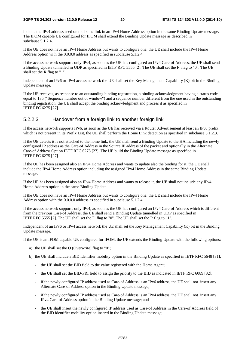include the IPv4 address used on the home link in an IPv4 Home Address option in the same Binding Update message. The IFOM capable UE configured for IFOM shall extend the Binding Update message as described in subclause 5.1.2.4.

If the UE does not have an IPv4 Home Address but wants to configure one, the UE shall include the IPv4 Home Address option with the 0.0.0.0 address as specified in subclause 5.1.2.4.

If the access network supports only IPv4, as soon as the UE has configured an IPv4 Care-of Address, the UE shall send a Binding Update tunnelled in UDP as specified in IETF RFC 5555 [2]. The UE shall set the F flag to "0". The UE shall set the R flag to "1".

Independent of an IPv6 or IPv4 access network the UE shall set the Key Management Capability (K) bit in the Binding Update message.

If the UE receives, as response to an outstanding binding registration, a binding acknowledgment having a status code equal to 135 ("Sequence number out of window") and a sequence number different from the one used in the outstanding binding registration, the UE shall accept the binding acknowledgment and process it as specified in IETF RFC 6275 [27].

#### 5.2.2.3 Handover from a foreign link to another foreign link

If the access network supports IPv6, as soon as the UE has received via a Router Advertisement at least an IPv6 prefix which is not present in its Prefix List, the UE shall perform the Home Link detection as specified in subclause 5.1.2.3.

If the UE detects it is not attached to the home link, the UE shall send a Binding Update to the HA including the newly configured IP address as the Care-of Address in the Source IP address of the packet and optionally in the Alternate Care-of Address Option IETF RFC 6275 [27]. The UE build the Binding Update message as specified in IETF RFC 6275 [27].

If the UE has been assigned also an IPv4 Home Address and wants to update also the binding for it, the UE shall include the IPv4 Home Address option including the assigned IPv4 Home Address in the same Binding Update message.

If the UE has been assigned also an IPv4 Home Address and wants to release it, the UE shall not include any IPv4 Home Address option in the same Binding Update.

If the UE does not have an IPv4 Home Address but wants to configure one, the UE shall include the IPv4 Home Address option with the 0.0.0.0 address as specified in subclause 5.1.2.4.

If the access network supports only IPv4, as soon as the UE has configured an IPv4 Care-of Address which is different from the previous Care-of Address, the UE shall send a Binding Update tunnelled in UDP as specified in IETF RFC 5555 [2]. The UE shall set the F flag to "0". The UE shall set the R flag to "1".

Independent of an IPv6 or IPv4 access network the UE shall set the Key Management Capability (K) bit in the Binding Update message.

If the UE is an IFOM capable UE configured for IFOM, the UE extends the Binding Update with the following options:

- a) the UE shall set the O (Overwrite) flag to "0";
- b) the UE shall include a BID identifier mobility option in the Binding Update as specified in IETF RFC 5648 [31];
	- the UE shall set the BID field to the value registered with the Home Agent;
	- the UE shall set the BID-PRI field to assign the priority to the BID as indicated in IETF RFC 6089 [32];
	- if the newly configured IP address used as Care-of Address is an IPv6 address, the UE shall not insert any Alternate Care-of Address option in the Binding Update message;
	- if the newly configured IP address used as Care-of Address is an IPv4 address, the UE shall not insert any IPv4 Care-of Address option in the Binding Update message; and
	- the UE shall insert the newly configured IP address used as Care-of Address in the Care-of Address field of the BID identifier mobility option insertd in the Binding Update message;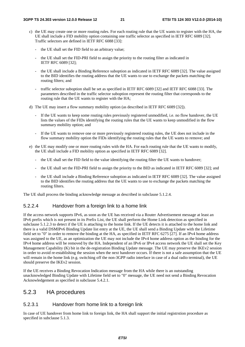- c) the UE may create one or more routing rules. For each routing rule that the UE wants to register with the HA, the UE shall include a FID mobility option containing one traffic selector as specified in IETF RFC 6089 [32]. Traffic selectors are defined in IETF RFC 6088 [33]:
	- the UE shall set the FID field to an arbitrary value;
	- the UE shall set the FID-PRI field to assign the priority to the routing filter as indicated in IETF RFC 6089 [32];
	- the UE shall include a Binding Reference suboption as indicated in IETF RFC 6089 [32]. The value assigned to the BID identifies the routing address that the UE wants to use to exchange the packets matching the routing filters; and
	- traffic selector suboption shall be set as specified in IETF RFC 6089 [32] and IETF RFC 6088 [33]. The parameters described in the traffic selector suboption represent the routing filter that corresponds to the routing rule that the UE wants to register with the HA;
- d) The UE may insert a flow summary mobility option (as described in IETF RFC 6089 [32]).
	- If the UE wants to keep some routing rules previously registered unmodified, i.e. no flow handover, the UE lists the values of the FIDs identifying the routing rules that the UE wants to keep unmodified in the flow summary mobility option; and
	- If the UE wants to remove one or more previously registered routing rules, the UE does not include in the flow summary mobility option the FIDs identifying the routing rules that the UE wants to remove; and
- e) the UE may modify one or more routing rules with the HA. For each routing rule that the UE wants to modify, the UE shall include a FID mobility option as specified in IETF RFC 6089 [32].
	- the UE shall set the FID field to the value identifying the routing filter the UE wants to handover;
	- the UE shall set the FID-PRI field to assign the priority to the BID as indicated in IETF RFC 6089 [32]; and
	- the UE shall include a Binding Reference suboption as indicated in IETF RFC 6089 [32]. The value assigned to the BID identifies the routing address that the UE wants to use to exchange the packets matching the routing filters.

The UE shall process the binding acknowledge message as described in subclause 5.1.2.4.

#### 5.2.2.4 Handover from a foreign link to a home link

If the access network supports IPv6, as soon as the UE has received via a Router Advertisement message at least an IPv6 prefix which is not present in its Prefix List, the UE shall perform the Home Link detection as specified in subclause 5.1.2.3 to detect if the UE is attaching to the home link. If the UE detects it is attached to the home link and there is a valid DSMIPv6 Binding Update list entry at the UE, the UE shall send a Binding Update with the Lifetime field set to "0" in order to remove the binding at the HA, as specified in IETF RFC 6275 [27]. If an IPv4 home address was assigned to the UE, as an optimization the UE may not include the IPv4 home address option as the binding for the IPv4 home address will be removed by the HA. Independent of an IPv6 or IPv4 access network the UE shall set the Key Management Capability (K) bit in the de-registration Binding Update message. The UE may preserve the IKEv2 session in order to avoid re-establishing the session when the next handover occurs. If there is not a safe assumption that the UE will remain in the home link (e.g. switching off the non-3GPP radio interface in case of a dual radio terminal), the UE should preserve the IKEv2 session.

If the UE receives a Binding Revocation Indication message from the HA while there is an outstanding unacknowledged Binding Update with Lifetime field set to "0" message, the UE need not send a Binding Revocation Acknowledgement as specified in subclause 5.4.2.1.

### 5.2.3 HA procedures

#### 5.2.3.1 Handover from home link to a foreign link

In case of UE handover from home link to foreign link, the HA shall support the initial registrstion procedure as specified in subclause 5.1.3.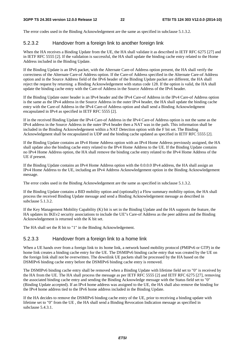The error codes used in the Binding Acknowledgement are the same as specified in subclause 5.1.3.2.

#### 5.2.3.2 Handover from a foreign link to another foreign link

When the HA receives a Binding Update from the UE, the HA shall validate it as described in IETF RFC 6275 [27] and in IETF RFC 5555 [2]. If the validation is successful, the HA shall update the binding cache entry related to the Home Address included in the Binding Update.

If the Binding Update is an IPv6 packet, with the Alternate Care-of Address option present, the HA shall verify the correctness of the Alternate Care-of Address option. If the Care-of Address specified in the Alternate Care-of Address option and in the Source Address field of the IPv6 header of the Binding Update packet are different, the HA shall reject the request by returning a Binding Acknowledgement with status code 128. If the option is valid, the HA shall update the binding cache entry with the Care-of Address in the Source Address of the IPv6 header.

If the Binding Update outer header is an IPv4 header and the IPv4 Care-of Address in the IPv4 Care-of Address option is the same as the IPv4 address in the Source Address in the outer IPv4 header, the HA shall update the binding cache entry with the Care-of Address in the IPv4 Care-of Address option and shall send a Binding Acknowledgment encapsulated in IPv4 as specified in IETF RFC 5555 [2].

If in the received Binding Update the IPv4 Care-of Address in the IPv4 Care-of Address option is not the same as the IPv4 address in the Source Address in the outer IPv4 header then a NAT was in the path. This information shall be included in the Binding Acknowledgement within a NAT Detection option with the F bit set. The Binding Acknowledgment shall be encapsulated in UDP and the binding cache updated as specified in IETF RFC 5555 [2].

If the Binding Update contains an IPv4 Home Address option with an IPv4 Home Address previously assigned, the HA shall update also the binding cache entry related to the IPv4 Home Address to the UE. If the Binding Update contains no IPv4 Home Address option, the HA shall remove the binding cache entry related to the IPv4 Home Address of the UE if present.

If the Binding Update contains an IPv4 Home Address option with the 0.0.0.0 IPv4 address, the HA shall assign an IPv4 Home Address to the UE, including an IPv4 Address Acknowledgement option in the Binding Acknowledgement message.

The error codes used in the Binding Acknowledgement are the same as specified in subclause 5.1.3.2.

If the Binding Update contains a BID mobility option and (optionally) a Flow summary mobility option, the HA shall process the received Binding Update message and send a Binding Acknowledgement message as described in subclause 5.1.3.2.

If the Key Management Mobility Capability (K) bit is set in the Binding Update and the HA supports the feature, the HA updates its IKEv2 security associations to include the UE"s Care-of Address as the peer address and the Binding Acknowledgement is returned with the K bit set.

The HA shall set the R bit to "1" in the Binding Acknowledgement.

#### 5.2.3.3 Handover from a foreign link to a home link

When a UE hands over from a foreign link to its home link, a network based mobility protocol (PMIPv6 or GTP) in the home link creates a binding cache entry for the UE. The DSMIPv6 binding cache entry that was created by the UE on the foreign link shall not be overwritten. The downlink UE packets shall be processed by the HA based on the DSMIPv6 binding cache entry before the DSMIPv6 binding cache entry is removed.

The DSMIPv6 binding cache entry shall be removed when a Binding Update with lifetime field set to "0" is received by the HA from the UE. The HA shall process the message as per IETF RFC 5555 [2] and IETF RFC 6275 [27], removing the associated binding cache entry and sending the Binding Acknowledge message with the Status field set to "0" (Binding Update accepted). If an IPv4 home address was assigned to the UE, the HA shall also remove the binding for the IPv4 home address tied to the IPv6 home address included in the Binding Update.

If the HA decides to remove the DSMIPv6 binding cache entry of the UE, prior to receiving a binding update with lifetime set to "0" from the UE , the HA shall send a Binding Revocation Indication message as specified in subclause 5.4.3.1.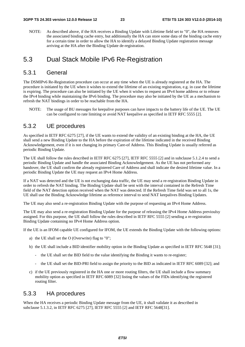NOTE: As described above, if the HA receives a Binding Update with Lifetime field set to "0", the HA removes the associated binding cache entry, but additionally the HA can store some data of the binding cache entry for a certain time in order to allow the HA to identify a delayed Binding Update registration message arriving at the HA after the Binding Update de-registration.

### 5.3 Dual Stack Mobile IPv6 Re-Registration

### 5.3.1 General

The DSMIPv6 Re-Registration procedure can occur at any time when the UE is already registered at the HA. The procedure is initiated by the UE when it wishes to extend the lifetime of an existing registration, e.g. in case the lifetime is expiring. The procedure can also be initiated by the UE when it wishes to request an IPv4 home address or to release the IPv4 binding while maintaining the IPv6 binding. The procedure may also be initiated by the UE as a mechanism to refresh the NAT bindings in order to be reachable from the HA.

NOTE: The usage of BU messages for keepalive purposes can have impacts to the battery life of the UE. The UE can be configured to rate limiting or avoid NAT keepalive as specified in IETF RFC 5555 [2].

### 5.3.2 UE procedures

As specified in IETF RFC 6275 [27], if the UE wants to extend the validity of an existing binding at the HA, the UE shall send a new Binding Update to the HA before the expiration of the lifetime indicated in the received Binding Acknowledgement, even if it is not changing its primary Care-of Address. This Binding Update is usually referred as periodic Binding Update.

The UE shall follow the rules described in IETF RFC 6275 [27], IETF RFC 5555 [2] and in subclause 5.1.2.4 to send a periodic Binding Update and handle the associated Binding Acknowledgement. As the UE has not performed any handover, the UE shall confirm the already registered Care of Address and shall indicate the desired lifetime value. In a periodic Binding Update the UE may request an IPv4 Home Address.

If a NAT was detected and the UE is not exchanging data traffic, the UE may send a re-registration Binding Update in order to refresh the NAT binding. The Binding Update shall be sent with the interval contained in the Refresh Time field of the NAT detection option received when the NAT was detected. If the Refresh Time field was set to all 1s, the UE shall use the Binding Acknowledge lifetime as reference interval to send NAT keepalives Binding Updates.

The UE may also send a re-registration Binding Update with the purpose of requesting an IPv4 Home Address.

The UE may also send a re-registration Binding Update for the purpose of releasing the IPv4 Home Address previoulsy assigned. For this purpose, the UE shall follow the rules described in IETF RFC 5555 [2] sending a re-registration Binding Update containing no IPv4 Home Address option.

If the UE is an IFOM capable UE configured for IFOM, the UE extends the Binding Update with the following options:

- a) the UE shall set the O (Overwrite) flag to "0";
- b) the UE shall include a BID identifier mobility option in the Binding Update as specified in IETF RFC 5648 [31];
	- the UE shall set the BID field to the value identifying the Binding it wants to re-register;
	- the UE shall set the BID-PRI field to assign the priority to the BID as indicated in IETF RFC 6089 [32]; and
- c) if the UE previously registered in the HA one or more routing filters, the UE shall include a flow summary mobility option as specified in IETF RFC 6089 [32] listing the values of the FIDs identifying the registered routing filter.

### 5.3.3 HA procedures

When the HA receives a periodic Binding Update message from the UE, it shall validate it as described in subclause 5.1.3.2, in IETF RFC 6275 [27], IETF RFC 5555 [2] and IETF RFC 5648[31].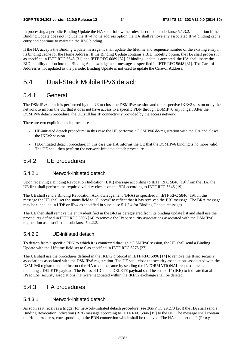In processing a periodic Binding Update the HA shall follow the rules described in subclause 5.1.3.2. In addition if the Binding Update does not include the IPv4 home address option the HA shall remove any associated IPv4 binding cache entry and continue to maintain the IPv6 binding.

If the HA accepts the Binding Update message, it shall update the lifetime and sequence number of the existing entry in its binding cache for the Home Address. If the Binding Update contains a BID mobility option, the HA shall process it as specified in IETF RFC 5648 [31] and IETF RFC 6089 [32]. If binding update is accepted, the HA shall insert the BID mobility option into the Binding Acknowledgement message as specified in IETF RFC 5648 [31]. The Care-of Address is not updated as the periodic Binding Update is not used to update the Care-of Address.

### 5.4 Dual-Stack Mobile IPv6 detach

### 5.4.1 General

The DSMIPv6 detach is performed by the UE to close the DSMIPv6 session and the respective IKEv2 session or by the network to inform the UE that it does not have access to a specific PDN through DSMIPv6 any longer. After the DSMIPv6 detach procedure, the UE still has IP connectivity provided by the access network.

There are two explicit detach procedures:

- UE-initiated detach procedure: in this case the UE performs a DSMIPv6 de-registration with the HA and closes the IKEv2 session.
- HA-initiated detach procedure: in this case the HA informs the UE that the DSMIPv6 binding is no more valid. The UE shall then perform the network-initiated detach procedure.

### 5.4.2 UE procedures

#### 5.4.2.1 Network-initiated detach

Upon receiving a Binding Revocation Indication (BRI) message according to IETF RFC 5846 [19] from the HA, the UE first shall perform the required validity checks on the BRI according to IETF RFC 5846 [19].

The UE shall send a Binding Revocation Acknowledgement (BRA) as specified in IETF RFC 5846 [19]. In this message the UE shall set the status field to "Success" to reflect that it has received the BRI message. The BRA message may be tunnelled in UDP or IPv4 as specified in subclause 5.1.2.4 for Binding Update messages.

The UE then shall remove the entry identified in the BRI as deregistered from its binding update list and shall use the procedures defined in IETF RFC 5996 [14] to remove the IPsec security associations associated with the DSMIPv6 registration as described in subclause 5.4.2.2.

#### 5.4.2.2 UE-initiated detach

To detach from a specific PDN to which it is connected through a DSMIPv6 session, the UE shall send a Binding Update with the Lifetime field set to 0 as specified in IETF RFC 6275 [27].

The UE shall use the procedures defined in the IKEv2 protocol in IETF RFC 5996 [14] to remove the IPsec security associations associated with the DSMIPv6 registration. The UE shall close the security associations associated with the DSMIPv6 registration and instruct the HA to do the same by sending the INFORMATIONAL request message including a DELETE payload. The Protocol ID in the DELETE payload shall be set to "1" (IKE) to indicate that all IPsec ESP security associations that were negotiated within the IKEv2 exchange shall be deleted.

### 5.4.3 HA procedures

#### 5.4.3.1 Network-initiated detach

As soon as it receives a trigger for network-initiated detach procedure (see 3GPP TS 29.273 [20]) the HA shall send a Binding Revocation Indication (BRI) message according to IETF RFC 5846 [19] to the UE. The message shall contain the Home Address, corresponding to the PDN connection which shall be removed. The HA shall set the P (Proxy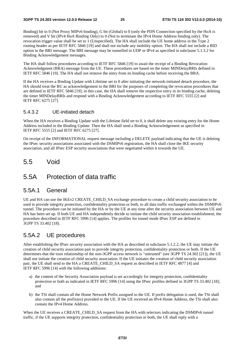Binding) bit to 0 (Not Proxy MIPv6 binding), G bit (Global) to 0 (only the PDN Connection specified by the HoA is removed) and V bit (IPv4 HoA Binding Only) to 0 (Not to terminate the IPv4 Home Address binding only). The revocation trigger value shall be set to 1 (Unspecified). The HA shall include the UE home address in the Type 2 routing header as per IETF RFC 5846 [19] and shall not include any mobility option. The HA shall not include a BID option in the BRI message. The BRI message may be tunnelled in UDP or IPv4 as specified in subclause 5.1.3.2 for Binding Acknowledgement messages.

The HA shall follow procedures according to IETF RFC 5846 [19] to await the receipt of a Binding Revocation Acknowledgment (BRA) message from the UE. These procedures are based on the timer MINDelayBRIs defined in IETF RFC 5846 [19]. The HA shall not remove the entry from its binding cache before receiving the BRA.

If the HA receives a Binding Update with Lifetime set to 0 after initiating the network-initiated detach procedure, the HA should treat the BU as acknowledgement to the BRI for the purposes of completing the revocation procedures that are defined in IETF RFC 5846 [19]; in this case, the HA shall remove the respective entry in its binding cache, deleting the timer MINDelayBRIs and respond with a Binding Acknowledgement according to IETF RFC 5555 [2] and IETF RFC 6275 [27].

#### 5.4.3.2 UE-initiated detach

When the HA receives a Binding Update with the Lifetime field set to 0, it shall delete any existing entry for the Home Address included in the Binding Update. Then the HA shall send a Binding Acknowledgement as specified in IETF RFC 5555 [2] and IETF RFC 6275 [27].

On receipt of the INFORMATIONAL request message including a DELETE payload indicating that the UE is deleting the IPsec security associations associated with the DSMIPv6 registration, the HA shall close the IKE security association, and all IPsec ESP security associations that were negotiated within it towards the UE.

### 5.5 Void

### 5.5A Protection of data traffic

### 5.5A.1 General

UE and HA can use the IKEv2 CREATE\_CHILD\_SA exchange procedure to create a child security association to be used to provide integrity protection, confidentiality protection or both, to all data traffic exchanged within the DSMIPv6 tunnel. The procedure can be initiated by the HA or by the UE at any time after the security association between UE and HA has been set up. If both UE and HA independently decide to initiate the child security association establishment, the procedure described in IETF RFC 5996 [14] applies. The profiles for tunnel mode IPsec ESP are defined in 3GPP TS 33.402 [18].

### 5.5A.2 UE procedures

After establishing the IPsec security association with the HA as described in subclause 5.1.2.2, the UE may initiate the creation of child security association pair to provide integrity protection, confidentiality protection or both. If the UE determines that the trust relationship of the non-3GPP access network is "untrusted" (see 3GPP TS 24.302 [21]), the UE shall not initiate the creation of child security association. If the UE initiates the creation of child security association pair, the UE shall send to the HA a CREATE\_CHILD\_SA request as described in IETF RFC 4877 [4] and IETF RFC 5996 [14] with the following additions:

- a) the content of the Security Association payload is set accordingly for integrity protection, confidentiality protection or both as indicated in IETF RFC 5996 [14] using the IPsec profiles defined in 3GPP TS 33.402 [18]; and
- b) the TSi shall contain all the Home Network Prefix assigned to the UE. If prefix delegation is used, the TSi shall also contain all the prefix(es) provided to the UE. If the UE received an IPv4 Home Address, the TSi shall also contain the IPv4 Home Address.

When the UE receives a CREATE\_CHILD\_SA request from the HA with selectors indicating the DSMIPv6 tunnel traffic, if the UE supports integrity protection, confidentiality protection or both, the UE shall reply with a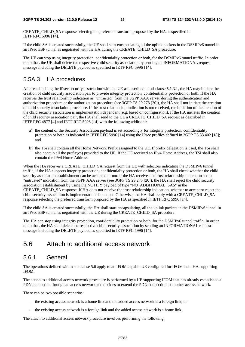CREATE\_CHILD\_SA response selecting the preferred transform proposed by the HA as specified in IETF RFC 5996 [14].

If the child SA is created successfully, the UE shall start encapsulating all the uplink packets in the DSMIPv6 tunnel in an IPsec ESP tunnel as negotiated with the HA during the CREATE\_CHILD\_SA procedure.

The UE can stop using integrity protection, confidentiality protection or both, for the DSMIPv6 tunnel traffic. In order to do that, the UE shall delete the respective child security association by sending an INFORMATIONAL request message including the DELETE payload as specified in IETF RFC 5996 [14].

### 5.5A.3 HA procedures

After establishing the IPsec security association with the UE as described in subclause 5.1.3.1, the HA may initiate the creation of child security association pair to provide integrity protection, confidentiality protection or both. If the HA receives the trust relationship indication as "untrusted" from the 3GPP AAA server during the authentication and authorization procedure or the authorization procedure (see 3GPP TS 29.273 [20]), the HA shall not initiate the creation of child security association procedure. If the trust relationship indication is not received, the initiation of the creation of the child security association is implementation dependent (e.g. based on configuration). If the HA initiates the creation of child security association pair, the HA shall send to the UE a CREATE\_CHILD\_SA request as described in IETF RFC 4877 [4] and IETF RFC 5996 [14] with the following additions:

- a) the content of the Security Association payload is set accordingly for integrity protection, confidentiality protection or both as indicated in IETF RFC 5996 [14] using the IPsec profiles defined in 3GPP TS 33.402 [18]; and
- b) the TSi shall contain all the Home Network Prefix assigned to the UE. If prefix delegation is used, the TSi shall also contain all the prefix(es) provided to the UE. If the UE received an IPv4 Home Address, the TSi shall also contain the IPv4 Home Address.

When the HA receives a CREATE\_CHILD\_SA request from the UE with selectors indicating the DSMIPv6 tunnel traffic, if the HA supports integrity protection, confidentiality protection or both, the HA shall check whether the child security association establishment can be accepted or not. If the HA receives the trust relationship indication set to "untrusted" indication from the 3GPP AAA server (see 3GPP TS 29.273 [20]), the HA shall reject the child security association establishment by using the NOTIFY payload of type "NO\_ADDITIONAL\_SAS" in the CREATE\_CHILD\_SA response. If HA does not receive the trust relationship indication, whether to accept or reject the child security association is implementation dependent. Otherwise, the HA shall reply with a CREATE\_CHILD\_SA response selecting the preferred transform proposed by the HA as specified in IETF RFC 5996 [14].

If the child SA is created successfully, the HA shall start encapsulating, all the uplink packets in the DSMIPv6 tunnel in an IPsec ESP tunnel as negotiated with the UE during the CREATE\_CHILD\_SA procedure.

The HA can stop using integrity protection, confidentiality protection or both, for the DSMIPv6 tunnel traffic. In order to do that, the HA shall delete the respective child security association by sending an INFORMATIONAL request message including the DELETE payload as specified in IETF RFC 5996 [14].

### 5.6 Attach to additional access network

### 5.6.1 General

The operations defined within subclause 5.6 apply to an IFOM capable UE configured for IFOMand a HA supporting IFOM.

The attach to additional access network procedure is performed by a UE supporting IFOM that has already established a PDN connection through an access network and decides to extend the PDN connection to another access network.

There can be two possible scenarios:

- the existing access network is a home link and the added access network is a foreign link; or
- the existing access network is a foreign link and the added access network is a home link.

The attach to additional access network procedure involves performing the following: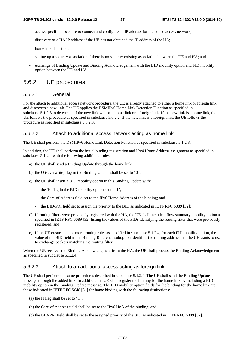- access specific procedure to connect and configure an IP address for the added access network;
- discovery of a HA IP address if the UE has not obtained the IP address of the HA;
- home link detection:
- setting up a security association if there is no security existing association between the UE and HA; and
- exchange of Binding Update and Binding Acknowledgement with the BID mobility option and FID mobility option between the UE and HA.

### 5.6.2 UE procedures

#### 5.6.2.1 General

For the attach to additional access network procedure, the UE is already attached to either a home link or foreign link and discovers a new link. The UE applies the DSMIPv6 Home Link Detection Function as specified in subclause 5.1.2.3 to determine if the new link will be a home link or a foreign link. If the new link is a home link, the UE follows the procedure as specified in subclause 5.6.2.2. If the new link is a foreign link, the UE follows the procedure as specified in subclause 5.6.2.3.

#### 5.6.2.2 Attach to additional access network acting as home link

The UE shall perform the DSMIPv6 Home Link Detection Function as specified in subclause 5.1.2.3.

In addition, the UE shall perform the initial binding registration and IPv4 Home Address assignment as specified in subclause 5.1.2.4 with the following additional rules:

- a) the UE shall send a Binding Update through the home link;
- b) the O (Overwrite) flag in the Binding Update shall be set to "0";
- c) the UE shall insert a BID mobility option in this Binding Update with:
	- the 'H' flag in the BID mobility option set to "1";
	- the Care-of Address field set to the IPv6 Home Address of the binding; and
	- the BID-PRI field set to assign the priority to the BID as indicated in IETF RFC 6089 [32];
- d) if routing filters were previously registered with the HA, the UE shall include a flow summary mobility option as specified in IETF RFC 6089 [32] listing the values of the FIDs identifying the routing filter that were previously registered; and
- e) if the UE creates one or more routing rules as specified in subclause 5.1.2.4, for each FID mobility option, the value of the BID field in the Binding Reference suboption identifies the routing address that the UE wants to use to exchange packets matching the routing filter.

When the UE receives the Binding Acknowledgment from the HA, the UE shall process the Binding Acknowledgment as specified in subclause 5.1.2.4.

#### 5.6.2.3 Attach to an additional access acting as foreign link

The UE shall perform the same procedures described in subclause 5.1.2.4. The UE shall send the Binding Update message through the added link. In addition, the UE shall register the binding for the home link by including a BID mobility option in the Binding Update message. The BID mobility option fields for the binding for the home link are those indicated in IETF RFC 5648 [31] for home binding with the following distinctions:

- (a) the H flag shall be set to "1";
- (b) the Care-of Address field shall be set to the IPv6 HoA of the binding; and
- (c) the BID-PRI field shall be set to the assigned priority of the BID as indicated in IETF RFC 6089 [32].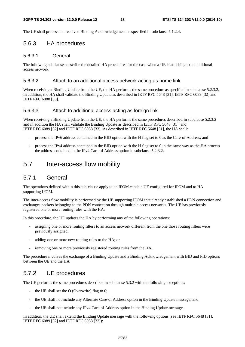The UE shall process the received Binding Acknowledgement as specified in subclause 5.1.2.4.

### 5.6.3 HA procedures

#### 5.6.3.1 General

The following subclauses describe the detailed HA procedures for the case when a UE is attaching to an additional access network.

#### 5.6.3.2 Attach to an additional access network acting as home link

When receiving a Binding Update from the UE, the HA performs the same procedure as specified in subclause 5.2.3.2. In addition, the HA shall validate the Binding Update as described in IETF RFC 5648 [31], IETF RFC 6089 [32] and IETF RFC 6088 [33].

#### 5.6.3.3 Attach to additional access acting as foreign link

When receiving a Binding Update from the UE, the HA performs the same procedures described in subclause 5.2.3.2 and in addition the HA shall validate the Binding Update as described in IETF RFC 5648 [31], and IETF RFC 6089 [32] and IETF RFC 6088 [33]. As described in IETF RFC 5648 [31], the HA shall:

- process the IPv6 address contained in the BID option with the H flag set to 0 as the Care-of Address; and
- process the IPv4 address contained in the BID option with the H flag set to 0 in the same way as the HA process the address contained in the IPv4 Care-of Address option in subclause 5.2.3.2.

### 5.7 Inter-access flow mobility

### 5.7.1 General

The operations defined within this sub-clause apply to an IFOM capable UE configured for IFOM and to HA supporting IFOM.

The inter-access flow mobility is performed by the UE supporting IFOM that already established a PDN connection and exchanges packets belonging to the PDN connection through multiple access networks. The UE has previously registered one or more routing rules with the HA.

In this procedure, the UE updates the HA by performing any of the following operations:

- assigning one or more routing filters to an access network different from the one those routing filters were previously assigned;
- adding one or more new routing rules to the HA; or
- removing one or more previously registered routing rules from the HA.

The procedure involves the exchange of a Binding Update and a Binding Acknowledgement with BID and FID options between the UE and the HA.

### 5.7.2 UE procedures

The UE performs the same procedures described in subclause 5.3.2 with the following exceptions:

- the UE shall set the  $O$  (Overwrite) flag to 0;
- the UE shall not include any Alternate Care-of Address option in the Binding Update message; and
- the UE shall not include any IPv4 Care-of Address option in the Binding Update message.

In addition, the UE shall extend the Binding Update message with the following options (see IETF RFC 5648 [31], IETF RFC 6089 [32] and IETF RFC 6088 [33]):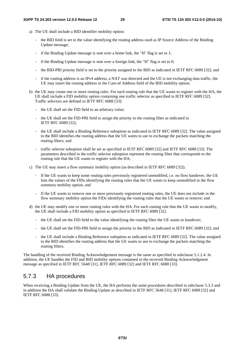- a) The UE shall include a BID identifier mobility option:
	- the BID field is set to the value identifying the routing address used as IP Source Address of the Binding Update message;
	- if the Binding Update message is sent over a home link, the "H" flag is set to 1;
	- if the Binding Update message is sent over a foreign link, the "H" flag is set to  $0$ ;
	- the BID-PRI priority field is set to the priority assigned to the BID as indicated in IETF RFC 6089 [32]; and
	- if the routing address is an IPv4 address, a NAT was detected and the UE is not exchanging data traffic, the UE may insert the routing address in the Care-of Address field of the BID mobility option;
- b) the UE may create one or more routing rules. For each routing rule that the UE wants to register with the HA, the UE shall include a FID mobility option containing one traffic selector as specified in IETF RFC 6089 [32]. Traffic selectors are defined in IETF RFC 6088 [33]:
	- the UE shall set the FID field to an arbitrary value;
	- the UE shall set the FID-PRI field to assign the priority to the routing filter as indicated in IETF RFC 6089 [32];
	- the UE shall include a Binding Reference suboption as indicated in IETF RFC 6089 [32]. The value assigned to the BID identifies the routing address that the UE wants to use to exchange the packets matching the routing filters; and
	- traffic selector suboption shall be set as specified in IETF RFC 6089 [32] and IETF RFC 6088 [33]. The parameters described in the traffic selector suboption represent the routing filter that corresponds to the routing rule that the UE wants to register with the HA;
- c) The UE may insert a flow summary mobility option (as described in IETF RFC 6089 [32]).
	- If the UE wants to keep some routing rules previously registered unmodified, i.e. no flow handover, the UE lists the values of the FIDs identifying the routing rules that the UE wants to keep unmodified in the flow summary mobility option; and
	- If the UE wants to remove one or more previously registered routing rules, the UE does not include in the flow summary mobility option the FIDs identifying the routing rules that the UE wants to remove; and
- d) the UE may modify one or more routing rules with the HA. For each routing rule that the UE wants to modify, the UE shall include a FID mobility option as specified in IETF RFC 6089 [32].
	- the UE shall set the FID field to the value identifying the routing filter the UE wants to handover;
	- the UE shall set the FID-PRI field to assign the priority to the BID as indicated in IETF RFC 6089 [32]; and
	- the UE shall include a Binding Reference suboption as indicated in IETF RFC 6089 [32]. The value assigned to the BID identifies the routing address that the UE wants to use to exchange the packets matching the routing filters.

The handling of the received Binding Acknowledgement message is the same as specified in subclause 5.1.2.4. In addition, the UE handles the FID and BID mobility options contained in the received Binding Acknowledgment message as specified in IETF RFC 5648 [31], IETF RFC 6089 [32] and IETF RFC 6088 [33].

### 5.7.3 HA procedures

When receiving a Binding Update from the UE, the HA performs the same procedures described in subclause 5.3.3 and in addition the HA shall validate the Binding Update as described in IETF RFC 5648 [31], IETF RFC 6089 [32] and IETF RFC 6088 [33].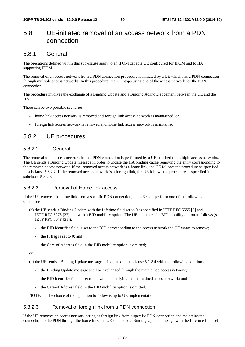### 5.8 UE-initiated removal of an access network from a PDN connection

### 5.8.1 General

The operations defined within this sub-clause apply to an IFOM capable UE configured for IFOM and to HA supporting IFOM.

The removal of an access network from a PDN connection procedure is initiated by a UE which has a PDN connection through multiple access networks. In this procedure, the UE stops using one of the access network for the PDN connection.

The procedure involves the exchange of a Binding Update and a Binding Acknowledgement between the UE and the HA.

There can be two possible scenarios:

- home link access network is removed and foreign link access network is maintained; or
- foreign link access network is removed and home link access network is maintained.

### 5.8.2 UE procedures

#### 5.8.2.1 General

The removal of an access network from a PDN connection is performed by a UE attached to multiple access networks. The UE sends a Binding Update message in order to update the HA binding cache removing the entry corresponding to the removed access network. If the removed access network is a home link, the UE follows the procedure as specified in subclause 5.8.2.2. If the removed access network is a foreign link, the UE follows the procedure as specified in subclause 5.8.2.3.

#### 5.8.2.2 Removal of Home link access

If the UE removes the home link from a specific PDN connection, the UE shall perform one of the following operations:

- (a) the UE sends a Binding Update with the Lifetime field set to 0 as specified in IETF RFC 5555 [2] and IETF RFC 6275 [27] and with a BID mobility option. The UE populates the BID mobility option as follows (see IETF RFC 5648 [31]):
	- the BID identifier field is set to the BID corresponding to the access network the UE wants to remove;
	- the H flag is set to 0; and
	- the Care-of Address field in the BID mobility option is omitted;

or:

(b) the UE sends a Binding Update message as indicated in subclause 5.1.2.4 with the following additions:

- the Binding Update message shall be exchanged through the maintained access network;
- the BID identifier field is set to the value identifying the maintained access network; and
- the Care-of Address field in the BID mobility option is omitted.

NOTE: The choice of the operation to follow is up to UE implementation.

#### 5.8.2.3 Removal of foreign link from a PDN connection

If the UE removes an access network acting as foreign link from a specific PDN connection and maintains the connection to the PDN through the home link, the UE shall send a Binding Update message with the Lifetime field set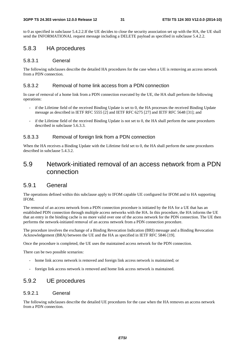to 0 as specified in subclause 5.4.2.2.If the UE decides to close the security association set up with the HA, the UE shall send the INFORMATIONAL request message including a DELETE payload as specified in subclause 5.4.2.2.

### 5.8.3 HA procedures

#### 5.8.3.1 General

The following subclauses describe the detailed HA procedures for the case when a UE is removing an access network from a PDN connection.

#### 5.8.3.2 Removal of home link access from a PDN connection

In case of removal of a home link from a PDN connection executed by the UE, the HA shall perform the following operations:

- if the Lifetime field of the received Binding Update is set to 0, the HA processes the received Binding Update message as described in IETF RFC 5555 [2] and IETF RFC 6275 [27] and IETF RFC 5648 [31]; and
- if the Lifetime field of the received Binding Update is not set to 0, the HA shall perform the same procedures described in subclause 5.6.3.3.

#### 5.8.3.3 Removal of foreign link from a PDN connection

When the HA receives a Binding Update with the Lifetime field set to 0, the HA shall perform the same procedures described in subclause 5.4.3.2.

### 5.9 Network-initiated removal of an access network from a PDN connection

### 5.9.1 General

The operations defined within this subclause apply to IFOM capable UE configured for IFOM and to HA supporting IFOM.

The removal of an access network from a PDN connection procedure is initiated by the HA for a UE that has an established PDN connection through multiple access networks with the HA. In this procedure, the HA informs the UE that an entry in the binding cache is no more valid over one of the access network for the PDN connection. The UE then performs the network-initiated removal of an access network from a PDN connection procedure.

The procedure involves the exchange of a Binding Revocation Indication (BRI) message and a Binding Revocation Acknowledgement (BRA) between the UE and the HA as specified in IETF RFC 5846 [19].

Once the procedure is completed, the UE uses the maintained access network for the PDN connection.

There can be two possible scenarios:

- home link access network is removed and foreign link access network is maintained; or
- foreign link access network is removed and home link access network is maintained.

### 5.9.2 UE procedures

#### 5.9.2.1 General

The following subclauses describe the detailed UE procedures for the case when the HA removes an access network from a PDN connection.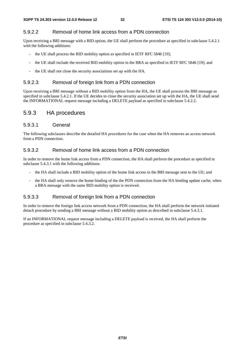#### 5.9.2.2 Removal of home link access from a PDN connection

Upon receiving a BRI message with a BID option, the UE shall perform the procedure as specified in subclause 5.4.2.1 with the following additions:

- the UE shall process the BID mobility option as specified in IETF RFC 5846 [19];
- the UE shall include the received BID mobility option in the BRA as specified in IETF RFC 5846 [19]; and
- the UE shall not close the security associations set up with the HA.

#### 5.9.2.3 Removal of foreign link from a PDN connection

Upon receiving a BRI message without a BID mobility option from the HA, the UE shall process the BRI message as specified in subclause 5.4.2.1. If the UE decides to close the security association set up with the HA, the UE shall send the INFORMATIONAL request message including a DELETE payload as specified in subclause 5.4.2.2.

### 5.9.3 HA procedures

#### 5.9.3.1 General

The following subclauses describe the detailed HA procedures for the case when the HA removes an access network from a PDN connection.

#### 5.9.3.2 Removal of home link access from a PDN connection

In order to remove the home link access from a PDN connection, the HA shall perform the procedure as specified in subclause 5.4.3.1 with the following additions:

- the HA shall include a BID mobility option of the home link access in the BRI message sent to the UE; and
- the HA shall only remove the home binding of the the PDN connection from the HA binding update cache, when a BRA message with the same BID mobility option is received.

#### 5.9.3.3 Removal of foreign link from a PDN connection

In order to remove the foreign link access network from a PDN connection, the HA shall perform the network initiated detach procedure by sending a BRI message without a BID mobility option as described in subclause 5.4.3.1.

If an INFORMATIONAL request message including a DELETE payload is received, the HA shall perform the procedure as specified in subclause 5.4.3.2.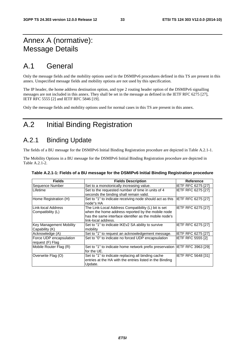# Annex A (normative): Message Details

# A.1 General

Only the message fields and the mobility options used in the DSMIPv6 procedures defined in this TS are present in this annex. Unspecified message fields and mobility options are not used by this specification.

The IP header, the home address destination option, and type 2 routing header option of the DSMIPv6 signalling messages are not included in this annex. They shall be set in the message as defined in the IETF RFC 6275 [27], IETF RFC 5555 [2] and IETF RFC 5846 [19].

Only the message fields and mobility options used for normal cases in this TS are present in this annex.

# A.2 Initial Binding Registration

### A.2.1 Binding Update

The fields of a BU message for the DSMIPv6 Initial Binding Registration procedure are depicted in Table A.2.1-1.

The Mobility Options in a BU message for the DSMIPv6 Initial Binding Registration procedure are depicted in Table A.2.1-2.

| <b>Fields</b>                               | <b>Fields Description</b>                                                                                                                                                                 | Reference                 |
|---------------------------------------------|-------------------------------------------------------------------------------------------------------------------------------------------------------------------------------------------|---------------------------|
| Sequence Number                             | Set to a monotonically increasing value.                                                                                                                                                  | IETF RFC 6275 [27]        |
| <b>Lifetime</b>                             | Set to the requested number of time in units of 4                                                                                                                                         | IETF RFC 6275 [27]        |
|                                             | seconds the binding shall remain valid.                                                                                                                                                   |                           |
| Home Registration (H)                       | Set to "1" to indicate receiving node should act as this<br>node"s HA                                                                                                                     | <b>IETF RFC 6275 [27]</b> |
| Link-local Address<br>Compatibility (L)     | The Link-Local Address Compatibility (L) bit is set<br>when the home address reported by the mobile node<br>has the same interface identifier as the mobile node's<br>link-local address. | IETF RFC 6275 [27]        |
| Key Management Mobility<br>Capability (K)   | Set to "1" to indicate IKEv2 SA ability to survive<br>mobility                                                                                                                            | <b>IETF RFC 6275 [27]</b> |
| Acknowledge (A)                             | Set to "1" to request an acknowledgement message.                                                                                                                                         | <b>IETF RFC 6275 [27]</b> |
| Force UDP encapsulation<br>request (F) Flag | Set to "0" to indicate no forced UDP encapsulation                                                                                                                                        | <b>IETF RFC 5555 [2]</b>  |
| Mobile Router Flag (R)                      | Set to "1" to indicate home network prefix preservation IETF RFC 3963 [29]<br>for the UE.                                                                                                 |                           |
| Overwrite Flag (O)                          | Set to "1" to indicate replacing all binding cache<br>entries at the HA with the entries listed in the Binding<br>Update.                                                                 | IETF RFC 5648 [31]        |

**Table A.2.1-1: Fields of a BU message for the DSMIPv6 Initial Binding Registration procedure**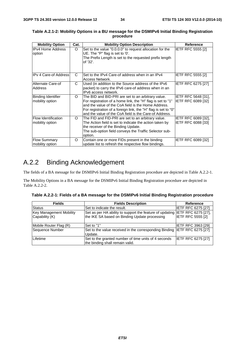| <b>Mobility Option</b>                        | Cat. | <b>Mobility Option Description</b>                                                                                                                                                                                                                                                                    | <b>Reference</b>                                        |
|-----------------------------------------------|------|-------------------------------------------------------------------------------------------------------------------------------------------------------------------------------------------------------------------------------------------------------------------------------------------------------|---------------------------------------------------------|
| <b>IPv4 Home Address</b><br>option            | O    | Set to the value "0.0.0.0" to request allocation for the<br>UE. The "P" flag is set to '0'.<br>The Prefix Length is set to the requested prefix length<br>of '32'.                                                                                                                                    | <b>IETF RFC 5555 [2]</b>                                |
| <b>IPv 4 Care-of Address</b>                  | C    | Set to the IPv4 Care-of address when in an IPv4<br>Access Network.                                                                                                                                                                                                                                    | <b>IETF RFC 5555 [2]</b>                                |
| Alternate Care-of<br><b>Address</b>           | C    | Used (in addition to the Source address of the IPv6<br>packet) to carry the IPv6 care-of address when in an<br>IPv6 access network.                                                                                                                                                                   | <b>IETF RFC 6275 [27]</b>                               |
| Binding Identifier<br>mobility option         | O    | The BID and BID-PRI are set to an arbitrary value.<br>For registration of a home link, the "H" flag is set to "1"<br>and the value of the CoA field is the Home Address.<br>For registration of a foreign link, the "H" flag is set to "0"<br>land the value of the CoA field is the Care-of Address. | <b>IETF RFC 5648 [31].</b><br> IETF RFC 6089 [32]       |
| <b>Flow Identification</b><br>mobility option | O    | The FID and FID-PRI are set to an arbitrary value.<br>The Action field is set to indicate the action taken by<br>the receiver of the Binding Update.<br>The sub-option field conveys the Traffic Selector sub-<br>option.                                                                             | <b>IETF RFC 6089 [32].</b><br><b>IETF RFC 6088 [33]</b> |
| <b>Flow Summary</b><br>mobility option        | O    | Contain one or more FIDs present in the binding<br>update list to refresh the respective flow bindings.                                                                                                                                                                                               | <b>IETF RFC 6089 [32]</b>                               |

#### **Table A.2.1-2: Mobility Options in a BU message for the DSMIPv6 Initial Binding Registration procedure**

# A.2.2 Binding Acknowledgement

The fields of a BA message for the DSMIPv6 Initial Binding Registration procedure are depicted in Table A.2.2-1.

The Mobility Options in a BA message for the DSMIPv6 Initial Binding Registration procedure are depicted in Table A.2.2-2.

|  | Table A.2.2-1: Fields of a BA message for the DSMIPv6 Initial Binding Registration procedure |  |
|--|----------------------------------------------------------------------------------------------|--|
|  |                                                                                              |  |

| <b>Fields</b>                                    | <b>Fields Description</b>                                                                                                     | Reference                 |
|--------------------------------------------------|-------------------------------------------------------------------------------------------------------------------------------|---------------------------|
| <b>Status</b>                                    | Set to indicate the result.                                                                                                   | <b>IETF RFC 6275 [27]</b> |
| <b>Key Management Mobility</b><br>Capability (K) | Set as per HA ability to support the feature of updating IETF RFC 6275 [27],<br>the IKE SA based on Binding Update processing | <b>IETF RFC 5555 [2]</b>  |
| Mobile Router Flag (R)                           | Set to "1"                                                                                                                    | IETF RFC 3963 [29]        |
| Sequence Number                                  | Set to the value received in the corresponding Binding IETF RFC 6275 [27]<br>Update.                                          |                           |
| Lifetime                                         | Set to the granted number of time units of 4 seconds<br>the binding shall remain valid.                                       | <b>IETF RFC 6275 [27]</b> |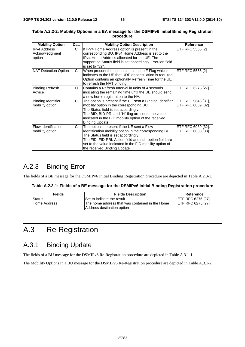| <b>Mobility Option</b>                          | Cat. | <b>Mobility Option Description</b>                                                                                                                                                                                                                                                                    | Reference                                 |
|-------------------------------------------------|------|-------------------------------------------------------------------------------------------------------------------------------------------------------------------------------------------------------------------------------------------------------------------------------------------------------|-------------------------------------------|
| <b>IPv4 Address</b><br>Acknowledgment<br>option | C    | If IPv4 Home Address option is present in the<br>corresponding BU, IPv4 Home Address is set to the<br>IPv4 Home Address allocated for the UE. The<br>supporting Status field is set accordingly. Pref-len field<br>is set to "32".                                                                    | <b>IETF RFC 5555 [2]</b>                  |
| NAT Detection Option                            | C    | When present the option contains the F Flag which<br>indicates to the UE that UDP encapsulation is required.<br>Option contains an optionally Refresh Time for the UE<br>to refresh the NAT binding.                                                                                                  | <b>IETF RFC 5555 [2]</b>                  |
| Binding Refresh<br>Advice                       | O    | Contains a Refresh Interval in units of 4 seconds<br>indicating the remaining time until the UE should send<br>a new home registration to the HA.                                                                                                                                                     | IETF RFC 6275 [27]                        |
| <b>Binding Identifier</b><br>mobility option    | C    | The option is present if the UE sent a Binding Identifier<br>mobility option in the corresponding BU.<br>The Status field is set accordingly.<br>The BID, BID-PRI and "H" flag are set to the value<br>indicated in the BID mobility option of the received<br>Binding Update.                        | IETF RFC 5648 [31],<br>IETF RFC 6089 [32] |
| <b>Flow Identification</b><br>mobility option   | C    | The option is present if the UE sent a Flow<br>Identification mobility option in the corresponding BU.<br>The Status field is set accordingly.<br>The FID, FID-PRI, Action field and sub-option field are<br>set to the value indicated in the FID mobility option of<br>the received Binding Update. | IETF RFC 6089 [32],<br>IETF RFC 6088 [33] |

#### **Table A.2.2-2: Mobility Options in a BA message for the DSMIPv6 Initial Binding Registration procedure**

# A.2.3 Binding Error

The fields of a BE message for the DSMIPv6 Initial Binding Registration procedure are depicted in Table A.2.3-1.

| <b>Fields</b> | <b>Fields Description</b>                                                      | Reference                 |
|---------------|--------------------------------------------------------------------------------|---------------------------|
| <b>Status</b> | Set to indicate the result.                                                    | <b>IETF RFC 6275 [27]</b> |
| Home Address  | IThe home address that was contained in the Home<br>Address destination option | <b>IETF RFC 6275 [27]</b> |

# A.3 Re-Registration

### A.3.1 Binding Update

The fields of a BU message for the DSMIPv6 Re-Registration procedure are depicted in Table A.3.1-1.

The Mobility Options in a BU message for the DSMIPv6 Re-Registration procedure are depicted in Table A.3.1-2.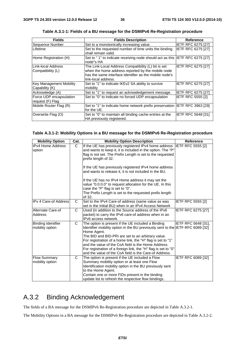| <b>Fields</b>                               | <b>Fields Description</b>                                                                                | Reference                 |
|---------------------------------------------|----------------------------------------------------------------------------------------------------------|---------------------------|
| Sequence Number                             | Set to a monotonically increasing value.                                                                 | <b>IETF RFC 6275 [27]</b> |
| Lifetime                                    | Set to the requested number of time units the binding                                                    | <b>IETF RFC 6275 [27]</b> |
|                                             | shall remain valid.                                                                                      |                           |
| Home Registration (H)                       | Set to "1" to indicate receiving node should act as this IETF RFC 6275 [27]<br>node"s HA                 |                           |
| Link-local Address<br>Compatibility (L)     | The Link-Local Address Compatibility (L) bit is set<br>when the home address reported by the mobile node | <b>IETF RFC 6275 [27]</b> |
|                                             | has the same interface identifier as the mobile node's<br>link-local address.                            |                           |
| Key Management Mobility<br>Capability (K)   | Set to "1" to indicate IKEv2 SA ability to survive<br>mobility                                           | <b>IETF RFC 6275 [27]</b> |
| Acknowledge (A)                             | Set to "1" to request an acknowledgement message.                                                        | <b>IETF RFC 6275 [27]</b> |
| Force UDP encapsulation<br>request (F) Flag | Set to "0" to indicate no forced UDP encapsulation                                                       | <b>IETF RFC 5555 [2]</b>  |
| Mobile Router Flag (R)                      | Set to "1" to indicate home network prefix preservation IETF RFC 3963 [29]<br>for the UE.                |                           |
| Overwrite Flag (O)                          | Set to "0" to maintain all binding cache entries at the<br>HA previously registered.                     | <b>IETF RFC 5648 [31]</b> |

**Table A.3.1-1: Fields of a BU message for the DSMIPv6 Re-Registration procedure** 

#### **Table A.3.1-2: Mobility Options in a BU message for the DSMIPv6 Re-Registration procedure**

| <b>Mobility Option</b>                       | Cat.         | <b>Mobility Option Description</b>                                                                                                                                                                                                                                                                                                                                                                                                                          | <b>Reference</b>           |
|----------------------------------------------|--------------|-------------------------------------------------------------------------------------------------------------------------------------------------------------------------------------------------------------------------------------------------------------------------------------------------------------------------------------------------------------------------------------------------------------------------------------------------------------|----------------------------|
| <b>IPv4 Home Address</b><br>option           | $\mathsf{C}$ | If the UE has previously registered IPv4 home address<br>and wants to keep it, it is included in the option. The "P"<br>flag is not set. The Prefix Length is set to the requested<br>prefix length of 32.<br>If the UE has previously registered IPv4 home address                                                                                                                                                                                         | <b>IETF RFC 5555 [2]</b>   |
|                                              |              | and wants to release it, it is not included in the BU.<br>If the UE has no IPv4 Home address it may set the<br>value "0.0.0.0" to request allocation for the UE. In this<br>case the "P" flag is set to "0".<br>The Prefix Length is set to the requested prefix length<br>of 32.                                                                                                                                                                           |                            |
| <b>IPv 4 Care-of Address</b>                 | C            | Set to the IPv4 Care-of address (same value as was<br>set in the Initial BU) when in an IPv4 Access Network                                                                                                                                                                                                                                                                                                                                                 | IETF RFC 5555 [2]          |
| Alternate Care-of<br>Address                 | $\mathsf{C}$ | Used (in addition to the Source address of the IPv6<br>packet) to carry the IPv6 care-of address when in an<br>IPv6 access network.                                                                                                                                                                                                                                                                                                                         | IETF RFC 6275 [27]         |
| <b>Binding Identifier</b><br>mobility option | C            | The option is present if the UE included a Binding<br>Identifier mobility option in the BU previously sent to the IETF RFC 6089 [32]<br>Home Agent.<br>The BID and BID-PRI are set to an arbitrary value.<br>For registration of a home link, the "H" flag is set to "1"<br>and the value of the CoA field is the Home Address.<br>For registration of a foreign link, the "H" flag is set to "0"<br>and the value of the CoA field is the Care-of Address. | <b>IETF RFC 5648 [31].</b> |
| <b>Flow Summary</b><br>mobility option       | C            | The option is present if the UE included a Flow<br>Summary mobility option or at least one Flow<br>Identification mobility option in the BU previously sent<br>to the Home Agent.<br>Contain one or more FIDs present in the binding<br>update list to refresh the respective flow bindings.                                                                                                                                                                | IETF RFC 6089 [32]         |

# A.3.2 Binding Acknowledgement

The fields of a BA message for the DSMIPv6 Re-Registration procedure are depicted in Table A.3.2-1.

The Mobility Options in a BA message for the DSMIPv6 Re-Registration procedure are depicted in Table A.3.2-2.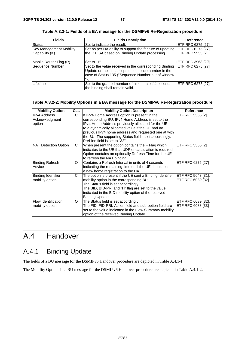| <b>Fields</b>           | <b>Fields Description</b>                                                                                                                                          | Reference                 |
|-------------------------|--------------------------------------------------------------------------------------------------------------------------------------------------------------------|---------------------------|
| Status                  | Set to indicate the result.                                                                                                                                        | <b>IETF RFC 6275 [27]</b> |
| Key Management Mobility | Set as per HA ability to support the feature of updating IETF RFC 6275 [27],                                                                                       |                           |
| Capability (K)          | the IKE SA based on Binding Update processing                                                                                                                      | <b>IETF RFC 5555 [2]</b>  |
| Mobile Router Flag (R)  | Set to "1"                                                                                                                                                         | <b>IETF RFC 3963 [29]</b> |
| Sequence Number         | Set to the value received in the corresponding Binding<br>Update or the last accepted sequence number in the<br>case of Status 135 ("Sequence Number out of window | IETF RFC 6275 [27]        |
| Lifetime                | Set to the granted number of time units of 4 seconds<br>the binding shall remain valid.                                                                            | IETF RFC 6275 [27]        |

**Table A.3.2-1: Fields of a BA message for the DSMIPv6 Re-Registration procedure** 

#### **Table A.3.2-2: Mobility Options in a BA message for the DSMIPv6 Re-Registration procedure**

| <b>Mobility Option</b>                          | Cat.     | <b>Mobility Option Description</b>                                                                                                                                                                                                                                                                                                                                   | <b>Reference</b>                                        |
|-------------------------------------------------|----------|----------------------------------------------------------------------------------------------------------------------------------------------------------------------------------------------------------------------------------------------------------------------------------------------------------------------------------------------------------------------|---------------------------------------------------------|
| <b>IPv4 Address</b><br>Acknowledgment<br>option | C        | If IPv4 Home Address option is present in the<br>corresponding BU, IPv4 Home Address is set to the<br>IPv4 Home Address previously allocated for the UE or<br>to a dynamically allocated value if the UE had no<br>previous IPv4 home address and requested one at with<br>the BU. The supporting Status field is set accordingly.<br>Pref-len field is set to "32". | <b>IETF RFC 5555 [2]</b>                                |
| NAT Detection Option                            | C        | When present the option contains the F Flag which<br>indicates to the UE that UDP encapsulation is required.<br>Option contains an optionally Refresh Time for the UE<br>to refresh the NAT binding.                                                                                                                                                                 | <b>IETF RFC 5555 [2]</b>                                |
| <b>Binding Refresh</b><br>Advice                | $\Omega$ | Contains a Refresh Interval in units of 4 seconds<br>indicating the remaining time until the UE should send<br>a new home registration to the HA.                                                                                                                                                                                                                    | IETF RFC 6275 [27]                                      |
| Binding Identifier<br>mobility option           | C        | The option is present if the UE sent a Binding Identifier  IETF RFC 5648 [31],<br>mobility option in the corresponding BU.<br>The Status field is set accordingly.<br>The BID, BID-PRI and "H" flag are set to the value<br>indicated in the BID mobility option of the received<br>Binding Update.                                                                  | IETF RFC 6089 [32]                                      |
| Flow Identification<br>mobility option          | O        | The Status field is set accordingly.<br>The FID, FID-PRI, Action field and sub-option field are<br>set to the value indicated in the Flow Summary mobility<br>option of the received Binding Update.                                                                                                                                                                 | <b>IETF RFC 6089 [32].</b><br><b>IETF RFC 6088 [33]</b> |

# A.4 Handover

# A.4.1 Binding Update

The fields of a BU message for the DSMIPv6 Handover procedure are depicted in Table A.4.1-1.

The Mobility Options in a BU message for the DSMIPv6 Handover procedure are depicted in Table A.4.1-2.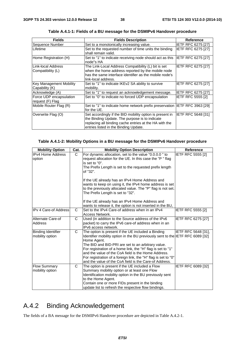| <b>Fields</b>                                    | <b>Fields Description</b>                                                                                                                                                                                     | Reference                 |
|--------------------------------------------------|---------------------------------------------------------------------------------------------------------------------------------------------------------------------------------------------------------------|---------------------------|
| Sequence Number                                  | Set to a monotonically increasing value.                                                                                                                                                                      | <b>IETF RFC 6275 [27]</b> |
| <b>Lifetime</b>                                  | Set to the requested number of time units the binding<br>shall remain valid.                                                                                                                                  | IETF RFC 6275 [27]        |
| Home Registration (H)                            | Set to "1" to indicate receiving node should act as this<br>node"s HA                                                                                                                                         | <b>IETF RFC 6275 [27]</b> |
| Link-local Address<br>Compatibility (L)          | The Link-Local Address Compatibility (L) bit is set<br>when the home address reported by the mobile node<br>has the same interface identifier as the mobile node's<br>link-local address.                     | <b>IETF RFC 6275 [27]</b> |
| <b>Key Management Mobility</b><br>Capability (K) | Set to "1" to indicate IKEv2 SA ability to survive<br>mobility.                                                                                                                                               | <b>IETF RFC 6275 [27]</b> |
| Acknowledge (A)                                  | Set to "1" to request an acknowledgement message.                                                                                                                                                             | <b>IETF RFC 6275 [27]</b> |
| Force UDP encapsulation<br>request (F) Flag      | Set to "0" to indicate no forced UDP encapsulation                                                                                                                                                            | <b>IETF RFC 5555 [2]</b>  |
| Mobile Router Flag (R)                           | Set to "1" to indicate home network prefix preservation IETF RFC 3963 [29]<br>for the UE.                                                                                                                     |                           |
| Overwrite Flag (O)                               | Set accordingly if the BID mobility option is present in<br>the Binding Update. The purpose is to indicate<br>replacing all binding cache entries at the HA with the<br>entries listed in the Binding Update. | <b>IETF RFC 5648 [31]</b> |

**Table A.4.1-1: Fields of a BU message for the DSMIPv6 Handover procedure** 

#### **Table A.4.1-2: Mobility Options in a BU message for the DSMIPv6 Handover procedure**

| <b>Mobility Option</b>                       | Cat. | <b>Mobility Option Description</b>                                                                                                                                                                                                                                                                                                                                                                                                                          | <b>Reference</b>         |
|----------------------------------------------|------|-------------------------------------------------------------------------------------------------------------------------------------------------------------------------------------------------------------------------------------------------------------------------------------------------------------------------------------------------------------------------------------------------------------------------------------------------------------|--------------------------|
| <b>IPv4 Home Address</b><br>option           | C    | For dynamic allocation, set to the value "0.0.0.0" to<br>request allocation for the UE. In this case the "P" flag<br>is set to "0".<br>The Prefix Length is set to the requested prefix length<br>of "32".<br>If the UE already has an IPv4 Home Address and                                                                                                                                                                                                | IETF RFC 5555 [2]        |
|                                              |      | wants to keep on using it, the IPv4 home address is set<br>to the previously allocated value. The "P" flag is not set.<br>The Prefix Length is set to "32".<br>If the UE already has an IPv4 Home Address and<br>wants to release it, the option is not inserted in the BU,                                                                                                                                                                                 |                          |
| IIPv 4 Care-of Address                       | C    | Set to the IPv4 Care-of address when in an IPv4<br>Access Network.                                                                                                                                                                                                                                                                                                                                                                                          | <b>IETF RFC 5555 [2]</b> |
| Alternate Care-of<br>Address                 | C    | Used (in addition to the Source address of the IPv6<br>packet) to carry the IPv6 care-of address when in an<br>IPv6 access network.                                                                                                                                                                                                                                                                                                                         | IETF RFC 6275 [27]       |
| <b>Binding Identifier</b><br>mobility option | C.   | The option is present if the UE included a Binding<br>Identifier mobility option in the BU previously sent to the IETF RFC 6089 [32]<br>Home Agent.<br>The BID and BID-PRI are set to an arbitrary value.<br>For registration of a home link, the "H" flag is set to "1"<br>and the value of the CoA field is the Home Address.<br>For registration of a foreign link, the "H" flag is set to "0"<br>and the value of the CoA field is the Care-of Address. | IETF RFC 5648 [31],      |
| <b>Flow Summary</b><br>mobility option       | C    | The option is present if the UE included a Flow<br>Summary mobility option or at least one Flow<br>Identification mobility option in the BU previously sent<br>to the Home Agent.<br>Contain one or more FIDs present in the binding<br>update list to refresh the respective flow bindings.                                                                                                                                                                | IETF RFC 6089 [32]       |

# A.4.2 Binding Acknowledgement

The fields of a BA message for the DSMIPv6 Handover procedure are depicted in Table A.4.2-1.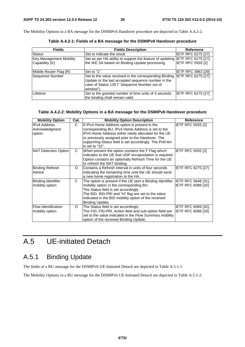The Mobility Options in a BA message for the DSMIPv6 Handover procedure are depicted in Table A.4.2-2.

| <b>Fields</b>                                    | <b>Fields Description</b>                                                                                                                                                 | <b>Reference</b>          |
|--------------------------------------------------|---------------------------------------------------------------------------------------------------------------------------------------------------------------------------|---------------------------|
| Status                                           | Set to indicate the result.                                                                                                                                               | <b>IETF RFC 6275 [27]</b> |
| <b>Key Management Mobility</b><br>Capability (K) | Set as per HA ability to support the feature of updating IETF RFC 6275 [27],<br>the IKE SA based on Binding Update processing                                             | <b>IETF RFC 5555 [2]</b>  |
| Mobile Router Flag (R)                           | Set to "1"                                                                                                                                                                | IETF RFC 3963 [29]        |
| Sequence Number                                  | Set to the value received in the corresponding Binding<br>Update or the last accepted sequence number in the<br>case of Status 135 (" Sequence Number out of<br>window"). | <b>IETF RFC 6275 [27]</b> |
| Lifetime                                         | Set to the granted number of time units of 4 seconds<br>the binding shall remain valid.                                                                                   | <b>IETF RFC 6275 [27]</b> |

**Table A.4.2-1: Fields of a BA message for the DSMIPv6 Handover procedure** 

#### **Table A.4.2-2: Mobility Options in a BA message for the DSMIPv6 Handover procedure**

| <b>Mobility Option</b>                        | Cat.     | <b>Mobility Option Description</b>                                                                                                                                                                                                                                             | Reference                                        |
|-----------------------------------------------|----------|--------------------------------------------------------------------------------------------------------------------------------------------------------------------------------------------------------------------------------------------------------------------------------|--------------------------------------------------|
| <b>IPv4 Address</b><br>Acknowledgment         | C        | If IPv4 Home Address option is present in the<br>corresponding BU, IPv4 Home Address is set to the                                                                                                                                                                             | IETF RFC 5555 [2]                                |
| option                                        |          | IPv4 Home Address either newly allocated for the UE<br>or previously assigned prior to the Handover. The<br>supporting Status field is set accordingly. The Pref-len<br>is set to "32".                                                                                        |                                                  |
| NAT Detection Option                          | C        | When present the option contains the F Flag which<br>indicates to the UE that UDP encapsulation is required.<br>Option contains an optionally Refresh Time for the UE<br>to refresh the NAT binding.                                                                           | <b>IETF RFC 5555 [2]</b>                         |
| <b>Binding Refresh</b><br>Advice              | $\Omega$ | Contains a Refresh Interval in units of four seconds<br>indicating the remaining time until the UE should send<br>a new home registration to the HA.                                                                                                                           | <b>IETF RFC 6275 [27]</b>                        |
| <b>Binding Identifier</b><br>mobility option  | C        | The option is present if the UE sent a Binding Identifier<br>mobility option in the corresponding BU.<br>The Status field is set accordingly.<br>The BID, BID-PRI and "H" flag are set to the value<br>indicated in the BID mobility option of the received<br>Binding Update. | IETF RFC 5648 [31],<br>IETF RFC 6089 [32]        |
| <b>Flow Identification</b><br>mobility option | O        | The Status field is set accordingly.<br>The FID, FID-PRI, Action field and sub-option field are<br>set to the value indicated in the Flow Summary mobility<br>option of the received Binding Update.                                                                           | IETF RFC 6089 [32],<br><b>IETF RFC 6088 [33]</b> |

# A.5 UE-initiated Detach

# A.5.1 Binding Update

The fields of a BU message for the DSMIPv6 UE-Initiated Detach are depicted in Table A.5.1-1.

The Mobility Options in a BU message for the DSMIPv6 UE-Initiated Detach are depicted in Table A.5.1-2.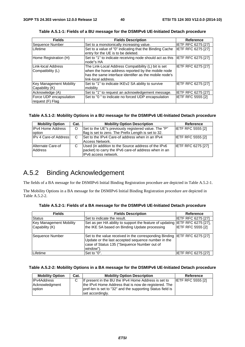| <b>Fields</b>                               | <b>Fields Description</b>                                                                                                                                                                 | Reference                 |
|---------------------------------------------|-------------------------------------------------------------------------------------------------------------------------------------------------------------------------------------------|---------------------------|
| Sequence Number                             | Set to a monotonically increasing value.                                                                                                                                                  | <b>IETF RFC 6275 [27]</b> |
| Lifetime                                    | Set to a value of "0" indicating that the Binding Cache<br>entry for the UE is to be deleted.                                                                                             | <b>IETF RFC 6275 [27]</b> |
| Home Registration (H)                       | Set to "1" to indicate receiving node should act as this<br>Inode"s HA                                                                                                                    | <b>IETF RFC 6275 [27]</b> |
| Link-local Address<br>Compatibility (L)     | The Link-Local Address Compatibility (L) bit is set<br>when the home address reported by the mobile node<br>has the same interface identifier as the mobile node's<br>link-local address. | IETF RFC 6275 [27]        |
| Key Management Mobility<br>Capability (K)   | Set to "1" to indicate IKEv2 SA ability to survive<br>mobility                                                                                                                            | IETF RFC 6275 [27]        |
| Acknowledge (A)                             | Set to "1" to request an acknowledgement message.                                                                                                                                         | IETF RFC 6275 [27]        |
| Force UDP encapsulation<br>request (F) Flag | Set to "0" to indicate no forced UDP encapsulation                                                                                                                                        | <b>IETF RFC 5555 [2]</b>  |

**Table A.5.1-1: Fields of a BU message for the DSMIPv6 UE-Initiated Detach procedure** 

#### **Table A.5.1-2: Mobility Options in a BU message for the DSMIPv6 UE-Initiated Detach procedure**

| <b>Mobility Option</b>       | Cat. | <b>Mobility Option Description</b>                                                                                                  | Reference                 |
|------------------------------|------|-------------------------------------------------------------------------------------------------------------------------------------|---------------------------|
| <b>IPv4 Home Address</b>     | O    | Set to the UE"s previously registered value. The "P"                                                                                | <b>IETF RFC 5555 [2]</b>  |
| option                       |      | flag is set to zero. The Prefix Length is set to 32.                                                                                |                           |
| <b>IPv 4 Care-of Address</b> | C    | Set to the IPv4 Care-of address when in an IPv4<br>Access Network.                                                                  | <b>IETF RFC 5555 [2]</b>  |
| Alternate Care-of<br>Address | C    | Used (in addition to the Source address of the IPv6<br>packet) to carry the IPv6 care-of address when in an<br>IPv6 access network. | <b>IETF RFC 6275 [27]</b> |

## A.5.2 Binding Acknowledgement

The fields of a BA message for the DSMIPv6 Initial Binding Registration procedure are depicted in Table A.5.2-1.

The Mobility Options in a BA message for the DSMIPv6 Initial Binding Registration procedure are depicted in Table A.5.2-2.

| <b>Fields</b>                  | <b>Fields Description</b>                                                                                                                                                                   | Reference                 |
|--------------------------------|---------------------------------------------------------------------------------------------------------------------------------------------------------------------------------------------|---------------------------|
| Status                         | Set to indicate the result.                                                                                                                                                                 | <b>IETF RFC 6275 [27]</b> |
| <b>Key Management Mobility</b> | Set as per HA ability to support the feature of updating IETF RFC 6275 [27],                                                                                                                |                           |
| Capability (K)                 | the IKE SA based on Binding Update processing                                                                                                                                               | <b>IETF RFC 5555 [2]</b>  |
| Sequence Number                | Set to the value received in the corresponding Binding IETF RFC 6275 [27]<br>Update or the last accepted sequence number in the<br>case of Status 135 ("Sequence Number out of<br>window"). |                           |
| Lifetime                       | Set to "0".                                                                                                                                                                                 | <b>IETF RFC 6275 [27]</b> |

**Table A.5.2-1: Fields of a BA message for the DSMIPv6 UE-Initiated Detach procedure** 

#### **Table A.5.2-2: Mobility Options in a BA message for the DSMIPv6 UE-Initiated Detach procedure**

| <b>Mobility Option</b> | Cat. | <b>Mobility Option Description</b>                         | Reference                |
|------------------------|------|------------------------------------------------------------|--------------------------|
| <b>IPv4Address</b>     | C.   | If present in the BU the IPv4 Home Address is set to       | <b>IETF RFC 5555 [2]</b> |
| Acknowledgment         |      | the IPv4 Home Address that is now de-registered. The       |                          |
| option                 |      | pref-len is set to "32" and the supporting Status field is |                          |
|                        |      | set accordingly.                                           |                          |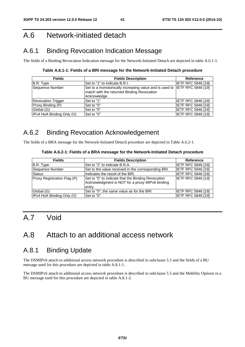# A.6 Network-initiated detach

# A.6.1 Binding Revocation Indication Message

The fields of a Binding Revocation Indication message for the Network-Initiated Detach are depicted in table A.6.1-1.

**Table A.6.1-1: Fields of a BRI message for the Network-Initiated Detach procedure** 

| <b>Fields</b>             | <b>Fields Description</b>                                                                                                              | <b>Reference</b>          |
|---------------------------|----------------------------------------------------------------------------------------------------------------------------------------|---------------------------|
| B.R. Type                 | Set to "1" to indicate B.R.I.                                                                                                          | <b>IETF RFC 5846 [19]</b> |
| Sequence Number           | Set to a monotonically increasing value and is used to IETF RFC 5846 [19]<br>match with the returned Binding Revocation<br>Acknowledge |                           |
| <b>Revocation Trigger</b> | Set to "1"                                                                                                                             | <b>IETF RFC 5846 [19]</b> |
| Proxy Binding (P)         | Set to "0"                                                                                                                             | <b>IETF RFC 5846 [19]</b> |
| Global (G)                | Set to "0"                                                                                                                             | <b>IETF RFC 5846 [19]</b> |
| IPv4 HoA Binding Only (V) | Set to "0"                                                                                                                             | <b>IETF RFC 5846 [19]</b> |

# A.6.2 Binding Revocation Acknowledgement

The fields of a BRA message for the Network-Initiated Detach procedure are depicted in Table A.6.2-1.

#### **Table A.6.2-1: Fields of a BRA message for the Network-Initiated Detach procedure**

| <b>Fields</b>               | <b>Fields Description</b>                                                                                       | <b>Reference</b>          |
|-----------------------------|-----------------------------------------------------------------------------------------------------------------|---------------------------|
| B.R. Type                   | Set to "2" to indicate B.R.A.                                                                                   | <b>IETF RFC 5846 [19]</b> |
| Sequence Number             | Set to the value received in the corresponding BRI.                                                             | <b>IETF RFC 5846 [19]</b> |
| <b>Status</b>               | Indicates the result of the BRI.                                                                                | <b>IETF RFC 5846 [19]</b> |
| Proxy Registration Flag (P) | Set to "0" to indicate that the Binding Revocation<br>Acknowledgment is NOT for a proxy MIPv6 binding<br>entry. | <b>IETF RFC 5846 [19]</b> |
| Global (G)                  | Set to "0"; the same value as for the BRI.                                                                      | <b>IETF RFC 5846 [19]</b> |
| IPv4 HoA Binding Only (V)   | Set to "0"                                                                                                      | <b>IETF RFC 5846 [19]</b> |

# A.7 Void

# A.8 Attach to an additional access network

# A.8.1 Binding Update

The DSMIPv6 attach to additional access network procedure is described in subclause 5.5 and the fields of a BU message used for this procedure are depicted in table A.8.1-1.

The DSMIPv6 attach to additional access network procedure is described in subclause 5.5 and the Mobility Options in a BU message used for this procedure are depicted in table A.8.1-2.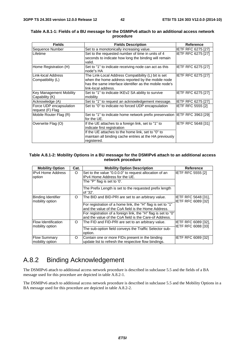| <b>Fields</b>                  | <b>Fields Description</b>                                                   | <b>Reference</b>          |
|--------------------------------|-----------------------------------------------------------------------------|---------------------------|
| Sequence Number                | Set to a monotonically increasing value.                                    | IETF RFC 6275 [27]        |
| Lifetime                       | Set to the requested number of time in units of 4                           | <b>IETF RFC 6275 [27]</b> |
|                                | seconds to indicate how long the binding will remain                        |                           |
|                                | valid.                                                                      |                           |
| Home Registration (H)          | Set to "1" to indicate receiving node can act as this                       | <b>IETF RFC 6275 [27]</b> |
|                                | node"s HA                                                                   |                           |
| Link-local Address             | The Link-Local Address Compatibility (L) bit is set                         | <b>IETF RFC 6275 [27]</b> |
| Compatibility (L)              | when the home address reported by the mobile node                           |                           |
|                                | has the same interface identifier as the mobile node's                      |                           |
|                                | link-local address.                                                         |                           |
| <b>Key Management Mobility</b> | Set to "1" to indicate IKEv2 SA ability to survive                          | <b>IETF RFC 6275 [27]</b> |
| Capability (K)                 | mobility                                                                    |                           |
| Acknowledge (A)                | Set to "1" to request an acknowledgement message.                           | <b>IETF RFC 6275 [27]</b> |
| Force UDP encapsulation        | Set to "0" to indicate no forced UDP encapsulation                          | IETF RFC 5555 [2]         |
| request (F) Flag               |                                                                             |                           |
| Mobile Router Flag (R)         | Set to "1" to indicate home network prefix preservation IIETF RFC 3963 [29] |                           |
|                                | for the UE.                                                                 |                           |
| Overwrite Flag (O)             | If the UE attaches to a foreign link, set to "1" to                         | <b>IETF RFC 5648 [31]</b> |
|                                | indicate first registration                                                 |                           |
|                                | If the UE attaches to the home link, set to "0" to                          |                           |
|                                | maintain all binding cache entries at the HA previously                     |                           |
|                                | registered.                                                                 |                           |

#### **Table A.8.1-1: Fields of a BU message for the DSMIPv6 attach to an additional access network procedure**

#### **Table A.8.1-2: Mobility Options in a BU message for the DSMIPv6 attach to an additional access network procedure**

| <b>Mobility Option</b>                        | Cat.     | <b>Mobility Option Description</b>                                                                                       | Reference                                 |
|-----------------------------------------------|----------|--------------------------------------------------------------------------------------------------------------------------|-------------------------------------------|
| <b>IPv4 Home Address</b><br>option            | O        | Set to the value "0.0.0.0" to request allocation of an<br>IPv4 Home Address for the UE.                                  | IETF RFC 5555 [2]                         |
|                                               |          | The "P" flag is set to '0'.                                                                                              |                                           |
|                                               |          | The Prefix Length is set to the requested prefix length<br>of '32'.                                                      |                                           |
| Binding Identifier<br>mobility option         | O        | The BID and BID-PRI are set to an arbitrary value.                                                                       | IETF RFC 5648 [31],<br>IETF RFC 6089 [32] |
|                                               |          | For registration of a home link, the "H" flag is set to "1"                                                              |                                           |
|                                               |          | and the value of the CoA field is the Home Address.                                                                      |                                           |
|                                               |          | For registration of a foreign link, the "H" flag is set to "0"<br>and the value of the CoA field is the Care-of Address. |                                           |
| <b>Flow Identification</b><br>mobility option | $\Omega$ | The FID and FID-PRI are set to an arbitrary value.                                                                       | IETF RFC 6089 [32].<br>IETF RFC 6088 [33] |
|                                               |          | The sub-option field conveys the Traffic Selector sub-<br>option.                                                        |                                           |
| <b>Flow Summary</b><br>mobility option        | O        | Contain one or more FIDs present in the binding<br>update list to refresh the respective flow bindings.                  | IETF RFC 6089 [32]                        |

# A.8.2 Binding Acknowledgement

The DSMIPv6 attach to additional access network procedure is described in subclause 5.5 and the fields of a BA message used for this procedure are depicted in table A.8.2-1.

The DSMIPv6 attach to additional access network procedure is described in subclause 5.5 and the Mobility Options in a BA message used for this procedure are depicted in table A.8.2-2.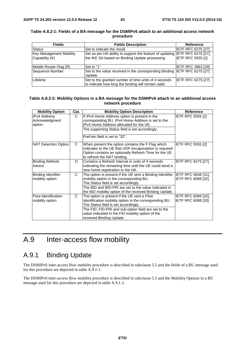| <b>Fields</b>                  | <b>Fields Description</b>                                                    | Reference                 |
|--------------------------------|------------------------------------------------------------------------------|---------------------------|
| Status                         | Set to indicate the result.                                                  | <b>IETF RFC 6275 [27]</b> |
| <b>Key Management Mobility</b> | Set as per HA ability to support the feature of updating IETF RFC 6275 [27], |                           |
| Capability (K)                 | the IKE SA based on Binding Update processing                                | <b>IETF RFC 5555 [2]</b>  |
|                                |                                                                              |                           |
| Mobile Router Flag (R)         | Set to "1"                                                                   | <b>IETF RFC 3963 [29]</b> |
| Sequence Number                | Set to the value received in the corresponding Binding IETF RFC 6275 [27]    |                           |
|                                | Update.                                                                      |                           |
| Lifetime                       | Set to the granted number of time units of 4 seconds                         | <b>IETF RFC 6275 [27]</b> |
|                                | to indicate how long the binding will remain valid.                          |                           |

#### **Table A.8.2-1: Fields of a BA message for the DSMIPv6 attach to an additional access network procedure**

#### **Table A.8.2-2: Mobility Options in a BA message for the DSMIPv6 attach to an additional access network procedure**

| <b>Mobility Option</b>                          | Cat.     | <b>Mobility Option Description</b>                                                                                                                                                                                                                                                      | Reference                                        |
|-------------------------------------------------|----------|-----------------------------------------------------------------------------------------------------------------------------------------------------------------------------------------------------------------------------------------------------------------------------------------|--------------------------------------------------|
| <b>IPv4 Address</b><br>Acknowledgment<br>option | C.       | If IPv4 Home Address option is present in the<br>corresponding BU, IPv4 Home Address is set to the<br>IPv4 Home Address allocated for the UE.<br>The supporting Status field is set accordingly.<br>Pref-len field is set to "32".                                                      | <b>IETF RFC 5555 [2]</b>                         |
| NAT Detection Option                            | C        | When present the option contains the F Flag which<br>indicates to the UE that UDP encapsulation is required.<br>Option contains an optionally Refresh Time for the UE<br>to refresh the NAT binding.                                                                                    | <b>IETF RFC 5555 [2]</b>                         |
| <b>Binding Refresh</b><br>Advice                | $\Omega$ | Contains a Refresh Interval in units of 4 seconds<br>indicating the remaining time until the UE could send a<br>new home registration to the HA.                                                                                                                                        | IETF RFC 6275 [27]                               |
| Binding Identifier<br>mobility option           | C        | The option is present if the UE sent a Binding Identifier<br>mobility option in the corresponding BU.<br>The Status field is set accordingly.<br>The BID and BID-PRI are set to the value indicated in<br>the BID mobility option of the received Binding Update.                       | <b>IETF RFC 5648 [31].</b><br>IETF RFC 6089 [32] |
| <b>Flow Identification</b><br>mobility option   | C        | The option is present if the UE sent a Flow<br>Identification mobility option in the corresponding BU.<br>The Status field is set accordingly.<br>The FID, FID-PRI and sub-option field are set to the<br>value indicated in the FID mobility option of the<br>received Binding Update. | IETF RFC 6089 [32],<br>IETF RFC 6088 [33]        |

# A.9 Inter-access flow mobility

# A.9.1 Binding Update

The DSMIPv6 inter-access flow mobility procedure is described in subclause 5.5 and the fields of a BU message used for this procedure are depicted in table A.9.1-1.

The DSMIPv6 inter-access flow mobility procedure is described in subclause 5.5 and the Mobility Options in a BU message used for this procedure are depicted in table A.9.1-2.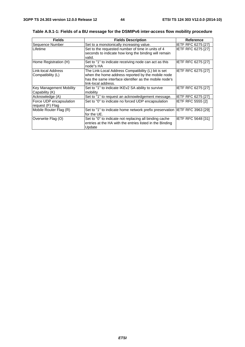| <b>Fields</b>                                    | <b>Fields Description</b>                                                                                                                                                                 | <b>Reference</b>          |
|--------------------------------------------------|-------------------------------------------------------------------------------------------------------------------------------------------------------------------------------------------|---------------------------|
| Sequence Number                                  | Set to a monotonically increasing value.                                                                                                                                                  | <b>IETF RFC 6275 [27]</b> |
| Lifetime                                         | Set to the requested number of time in units of 4<br>seconds to indicate how long the binding will remain<br>valid.                                                                       | <b>IETF RFC 6275 [27]</b> |
| Home Registration (H)                            | Set to "1" to indicate receiving node can act as this<br>node"s HA                                                                                                                        | <b>IETF RFC 6275 [27]</b> |
| ILink-local Address<br>Compatibility (L)         | The Link-Local Address Compatibility (L) bit is set<br>when the home address reported by the mobile node<br>has the same interface identifier as the mobile node's<br>link-local address. | <b>IETF RFC 6275 [27]</b> |
| <b>Key Management Mobility</b><br>Capability (K) | Set to "1" to indicate IKEv2 SA ability to survive<br>mobility                                                                                                                            | <b>IETF RFC 6275 [27]</b> |
| Acknowledge (A)                                  | Set to "1" to request an acknowledgement message.                                                                                                                                         | <b>IETF RFC 6275 [27]</b> |
| Force UDP encapsulation<br>request (F) Flag      | Set to "0" to indicate no forced UDP encapsulation                                                                                                                                        | <b>IETF RFC 5555 [2]</b>  |
| Mobile Router Flag (R)                           | Set to "1" to indicate home network prefix preservation IETF RFC 3963 [29]<br>for the UE.                                                                                                 |                           |
| Overwrite Flag (O)                               | Set to "0" to indicate not replacing all binding cache<br>entries at the HA with the entries listed in the Binding<br>Update                                                              | <b>IETF RFC 5648 [31]</b> |

**Table A.9.1-1: Fields of a BU message for the DSMIPv6 inter-access flow mobility procedure**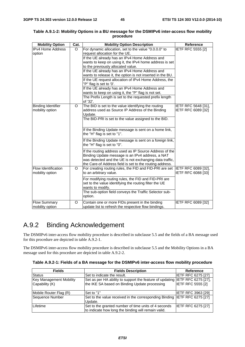| <b>Mobility Option</b>    | Cat.    | <b>Mobility Option Description</b>                                  | <b>Reference</b>         |
|---------------------------|---------|---------------------------------------------------------------------|--------------------------|
| <b>IPv4 Home Address</b>  | O       | For dynamic allocation, set to the value "0.0.0.0" to               | <b>IETF RFC 5555 [2]</b> |
| option                    |         | request allocation for the UE.                                      |                          |
|                           |         | If the UE already has an IPv4 Home Address and                      |                          |
|                           |         | wants to keep on using it, the IPv4 home address is set             |                          |
|                           |         | to the previously allocated value.                                  |                          |
|                           |         | If the UE already has an IPv4 Home Address and                      |                          |
|                           |         | wants to release it, the option is not inserted in the BU.          |                          |
|                           |         | If the UE request allocation of IPv4 Home Address, the              |                          |
|                           |         | "P" flag is set to '0'.                                             |                          |
|                           |         | If the UE already has an IPv4 Home Address and                      |                          |
|                           |         | wants to keep on using it, the "P" flag is not set.                 |                          |
|                           |         | The Prefix Length is set to the requested prefix length<br>of '32'. |                          |
| <b>Binding Identifier</b> | $\circ$ | The BID is set to the value identifying the routing                 | IETF RFC 5648 [31],      |
| mobility option           |         | address used as Source IP Address of the Binding                    | IETF RFC 6089 [32]       |
|                           |         | Update.                                                             |                          |
|                           |         | The BID-PRI is set to the value assigned to the BID.                |                          |
|                           |         |                                                                     |                          |
|                           |         | If the Binding Update message is sent on a home link,               |                          |
|                           |         | the "H" flag is set to "1".                                         |                          |
|                           |         | If the Binding Update message is sent on a foreign link,            |                          |
|                           |         | the "H" flag is set to "0".                                         |                          |
|                           |         | If the routing address used as IP Source Address of the             |                          |
|                           |         | Binding Update message is an IPv4 address, a NAT                    |                          |
|                           |         | was detected and the UE is not exchanging data traffic,             |                          |
|                           |         | the Care-of Address field is set to the routing address.            |                          |
| Flow Identification       | O       | For creating routing rules, the FID and FID-PRI are set             | IETF RFC 6089 [32],      |
| mobility option           |         | to an arbitrary value.                                              | IETF RFC 6088 [33]       |
|                           |         |                                                                     |                          |
|                           |         | For modifying routing rules, the FID and FID-PRI are                |                          |
|                           |         | set to the value identifying the routing filter the UE              |                          |
|                           |         | wants to modify.                                                    |                          |
|                           |         | The sub-option field conveys the Traffic Selector sub-              |                          |
|                           |         | option.                                                             |                          |
| <b>Flow Summary</b>       | O       | Contain one or more FIDs present in the binding                     | IETF RFC 6089 [32]       |
| mobility option           |         | update list to refresh the respective flow bindings.                |                          |

#### **Table A.9.1-2: Mobility Options in a BU message for the DSMIPv6 inter-access flow mobility procedure**

# A.9.2 Binding Acknowledgement

The DSMIPv6 inter-access flow mobility procedure is described in subclause 5.5 and the fields of a BA message used for this procedure are depicted in table A.9.2-1.

The DSMIPv6 inter-access flow mobility procedure is described in subclause 5.5 and the Mobility Options in a BA message used for this procedure are depicted in table A.9.2-2.

| Table A.9.2-1: Fields of a BA message for the DSMIPv6 inter-access flow mobility procedure |  |  |  |  |
|--------------------------------------------------------------------------------------------|--|--|--|--|
|--------------------------------------------------------------------------------------------|--|--|--|--|

| <b>Fields</b>           | <b>Fields Description</b>                                                    | Reference                 |
|-------------------------|------------------------------------------------------------------------------|---------------------------|
| <b>Status</b>           | Set to indicate the result.                                                  | IETF RFC 6275 [27]        |
| Key Management Mobility | Set as per HA ability to support the feature of updating IETF RFC 6275 [27], |                           |
| Capability (K)          | the IKE SA based on Binding Update processing                                | <b>IETF RFC 5555 [2]</b>  |
|                         |                                                                              |                           |
| Mobile Router Flag (R)  | Set to "1"                                                                   | IETF RFC 3963 [29]        |
| Sequence Number         | Set to the value received in the corresponding Binding IETF RFC 6275 [27]    |                           |
|                         | Update.                                                                      |                           |
| Lifetime                | Set to the granted number of time units of 4 seconds                         | <b>IETF RFC 6275 [27]</b> |
|                         | to indicate how long the binding will remain valid.                          |                           |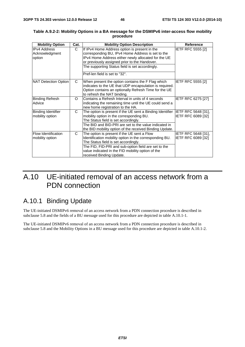| <b>Mobility Option</b>     | Cat. | <b>Mobility Option Description</b>                                            | <b>Reference</b>          |
|----------------------------|------|-------------------------------------------------------------------------------|---------------------------|
| <b>IPv4 Address</b>        | C.   | If IPv4 Home Address option is present in the                                 | <b>IETF RFC 5555 [2]</b>  |
| Acknowledgment             |      | corresponding BU, IPv4 Home Address is set to the                             |                           |
| option                     |      | IPv4 Home Address either newly allocated for the UE                           |                           |
|                            |      | or previously assigned prior to the Handover.                                 |                           |
|                            |      | The supporting Status field is set accordingly.                               |                           |
|                            |      | Pref-len field is set to "32".                                                |                           |
| NAT Detection Option       | C.   | When present the option contains the F Flag which                             | <b>IETF RFC 5555 [2]</b>  |
|                            |      | indicates to the UE that UDP encapsulation is required.                       |                           |
|                            |      | Option contains an optionally Refresh Time for the UE                         |                           |
|                            |      | to refresh the NAT binding.                                                   |                           |
| <b>Binding Refresh</b>     | O    | Contains a Refresh Interval in units of 4 seconds                             | <b>IETF RFC 6275 [27]</b> |
| Advice                     |      | indicating the remaining time until the UE could send a                       |                           |
|                            |      | new home registration to the HA.                                              |                           |
| <b>Binding Identifier</b>  | C.   | The option is present if the UE sent a Binding Identifier IETF RFC 5648 [31], |                           |
| mobility option            |      | mobility option in the corresponding BU.                                      | IETF RFC 6089 [32]        |
|                            |      | The Status field is set accordingly.                                          |                           |
|                            |      | The BID and BID-PRI are set to the value indicated in                         |                           |
|                            |      | the BID mobility option of the received Binding Update.                       |                           |
| <b>Flow Identification</b> | C    | The option is present if the UE sent a Flow                                   | IETF RFC 5648 [31],       |
| mobility option            |      | Identification mobility option in the corresponding BU.                       | IETF RFC 6089 [32]        |
|                            |      | The Status field is set accordingly.                                          |                           |
|                            |      | The FID, FID-PRI and sub-option field are set to the                          |                           |
|                            |      | value indicated in the FID mobility option of the                             |                           |
|                            |      | received Binding Update.                                                      |                           |

#### **Table A.9.2-2: Mobility Options in a BA message for the DSMIPv6 inter-access flow mobility procedure**

# A.10 UE-initiated removal of an access network from a PDN connection

# A.10.1 Binding Update

The UE-initiated DSMIPv6 removal of an access network from a PDN connection procedure is described in subclause 5.8 and the fields of a BU message used for this procedure are depicted in table A.10.1-1.

The UE-initiated DSMIPv6 removal of an access network from a PDN connection procedure is described in subclause 5.8 and the Mobility Options in a BU message used for this procedure are depicted in table A.10.1-2.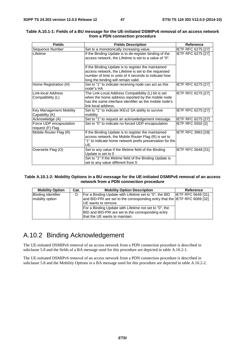| <b>Fields</b>                                    | <b>Fields Description</b>                                                                                                                                                                                  | <b>Reference</b>          |
|--------------------------------------------------|------------------------------------------------------------------------------------------------------------------------------------------------------------------------------------------------------------|---------------------------|
| Sequence Number                                  | Set to a monotonically increasing value.                                                                                                                                                                   | <b>IETF RFC 6275 [27]</b> |
| Lifetime                                         | If the Binding Update is to de-register binding of the<br>access network, the Lifetime is set to a value of "0".                                                                                           | IETF RFC 6275 [27]        |
|                                                  | If the Binding Update is to register the maintained<br>access network, the Lifetime is set to the requested<br>number of time in units of 4 seconds to indicate how<br>long the binding will remain valid. |                           |
| Home Registration (H)                            | Set to "1" to indicate receiving node can act as this<br>node"s HA                                                                                                                                         | IETF RFC 6275 [27]        |
| Link-local Address<br>Compatibility (L)          | The Link-Local Address Compatibility (L) bit is set<br>when the home address reported by the mobile node<br>has the same interface identifier as the mobile node's<br>link-local address.                  | IETF RFC 6275 [27]        |
| <b>Key Management Mobility</b><br>Capability (K) | Set to "1" to indicate IKEv2 SA ability to survive<br>mobility                                                                                                                                             | IETF RFC 6275 [27]        |
| Acknowledge (A)                                  | Set to "1" to request an acknowledgement message.                                                                                                                                                          | <b>IETF RFC 6275 [27]</b> |
| Force UDP encapsulation<br>request (F) Flag      | Set to "0" to indicate no forced UDP encapsulation                                                                                                                                                         | IETF RFC 5555 [2]         |
| Mobile Router Flag (R)                           | If the Binding Update is to register the maintained<br>access network, the Mobile Router Flag (R) is set to<br>"1" to indicate home network prefix preservation for the<br>UE.                             | IETF RFC 3963 [29]        |
| Overwrite Flag (O)                               | Set to any value if the lifetime field of the Binding<br>Update is set to 0<br>Set to "1" if the lifetime field of the Binding Update is<br>set to any value different from 0                              | <b>IETF RFC 5648 [31]</b> |

#### **Table A.10.1-1: Fields of a BU message for the UE-initiated DSMIPv6 removal of an access network from a PDN connection procedure**

#### **Table A.10.1-2: Mobility Options in a BU message for the UE-initiated DSMIPv6 removal of an access network from a PDN connection procedure**

| <b>Mobility Option</b>                       | Cat. | <b>Mobility Option Description</b>                                                                                                             | Reference                  |
|----------------------------------------------|------|------------------------------------------------------------------------------------------------------------------------------------------------|----------------------------|
| <b>Binding Identifier</b><br>mobility option |      | For a Binding Update with Lifetime set to "0", the BID<br>and BID-PRI are set to the corresponding entry that the IETF RFC 6089 [32]           | <b>IETF RFC 5648 [31].</b> |
|                                              |      | <b>IUE</b> wants to remove.                                                                                                                    |                            |
|                                              |      | For a Binding Update with Lifetime not set to "0", the<br>BID and BID-PRI are set to the corresponding entry<br>that the UE wants to maintain. |                            |

# A.10.2 Binding Acknowledgement

The UE-initiated DSMIPv6 removal of an access network from a PDN connection procedure is described in subclause 5.8 and the fields of a BA message used for this procedure are depicted in table A.10.2-1.

The UE-initiated DSMIPv6 removal of an access network from a PDN connection procedure is described in subclause 5.8 and the Mobility Options in a BA message used for this procedure are depicted in table A.10.2-2.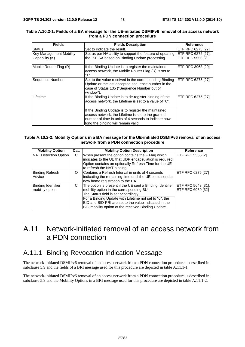| <b>Fields</b>           | <b>Fields Description</b>                                                                                                                                                                                | Reference                 |
|-------------------------|----------------------------------------------------------------------------------------------------------------------------------------------------------------------------------------------------------|---------------------------|
| Status                  | Set to indicate the result.                                                                                                                                                                              | <b>IETF RFC 6275 [27]</b> |
| Key Management Mobility | Set as per HA ability to support the feature of updating IETF RFC 6275 [27],                                                                                                                             |                           |
| Capability (K)          | the IKE SA based on Binding Update processing                                                                                                                                                            | <b>IETF RFC 5555 [2]</b>  |
| Mobile Router Flag (R)  | If the Binding Update is to register the maintained<br>access network, the Mobile Router Flag (R) is set to<br><b>"4"</b>                                                                                | <b>IETF RFC 3963 [29]</b> |
| Sequence Number         | Set to the value received in the corresponding Binding IETF RFC 6275 [27]<br>Update or the last accepted sequence number in the<br>case of Status 135 ("Sequence Number out of<br>window").              |                           |
| Lifetime                | If the Binding Update is to de-register binding of the<br>access network, the Lifetime is set to a value of "0".                                                                                         | <b>IETF RFC 6275 [27]</b> |
|                         | If the Binding Update is to register the maintained<br>access network, the Lifetime is set to the granted<br>number of time in units of 4 seconds to indicate how<br>long the binding will remain valid. |                           |

#### **Table A.10.2-1: Fields of a BA message for the UE-initiated DSMIPv6 removal of an access network from a PDN connection procedure**

#### **Table A.10.2-2: Mobility Options in a BA message for the UE-initiated DSMIPv6 removal of an access network from a PDN connection procedure**

| <b>Mobility Option</b>                       | Cat. | <b>Mobility Option Description</b>                                                                                                                                                                                                                                                                                             | Reference                                 |
|----------------------------------------------|------|--------------------------------------------------------------------------------------------------------------------------------------------------------------------------------------------------------------------------------------------------------------------------------------------------------------------------------|-------------------------------------------|
| NAT Detection Option                         | C    | When present the option contains the F Flag which<br>indicates to the UE that UDP encapsulation is required.<br>Option contains an optionally Refresh Time for the UE<br>to refresh the NAT binding.                                                                                                                           | <b>IETF RFC 5555 [2]</b>                  |
| <b>Binding Refresh</b><br>Advice             | O    | Contains a Refresh Interval in units of 4 seconds<br>indicating the remaining time until the UE could send a<br>new home registration to the HA.                                                                                                                                                                               | <b>IETF RFC 6275 [27]</b>                 |
| <b>Binding Identifier</b><br>mobility option | C    | The option is present if the UE sent a Binding Identifier<br>mobility option in the corresponding BU.<br>The Status field is set accordingly.<br>For a Binding Update with Lifetime not set to "0", the<br><b>BID and BID-PRI are set to the value indicated in the</b><br>BID mobility option of the received Binding Update. | IETF RFC 5648 [31],<br>IETF RFC 6089 [32] |

# A.11 Network-initiated removal of an access network from a PDN connection

### A.11.1 Binding Revocation Indication Message

The network-initiated DSMIPv6 removal of an access network from a PDN connection procedure is described in subclause 5.9 and the fields of a BRI message used for this procedure are depicted in table A.11.1-1.

The network-initiated DSMIPv6 removal of an access network from a PDN connection procedure is described in subclause 5.9 and the Mobility Options in a BRI message used for this procedure are depicted in table A.11.1-2.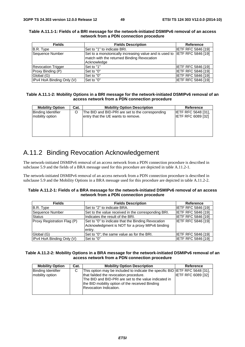| <b>Fields</b>             | <b>Fields Description</b>                                                 | <b>Reference</b>          |
|---------------------------|---------------------------------------------------------------------------|---------------------------|
| B.R. Type                 | Set to "1" to indicate BRI.                                               | IIETF RFC 5846 [19]       |
| Sequence Number           | Set to a monotonically increasing value and is used to IETF RFC 5846 [19] |                           |
|                           | match with the returned Binding Revocation                                |                           |
|                           | Acknowledge                                                               |                           |
| <b>Revocation Trigger</b> | Set to "1"                                                                | <b>IETF RFC 5846 [19]</b> |
| Proxy Binding (P)         | Set to "0"                                                                | <b>IETF RFC 5846 [19]</b> |
| Global (G)                | Set to "0"                                                                | IETF RFC 5846 [19]        |
| IPv4 HoA Binding Only (V) | Set to "0"                                                                | <b>IETF RFC 5846 [19]</b> |

#### **Table A.11.1-1: Fields of a BRI message for the network-initiated DSMIPv6 removal of an access network from a PDN connection procedure**

#### **Table A.11.1-2: Mobility Options in a BRI message for the network-initiated DSMIPv6 removal of an access network from a PDN connection procedure**

| <b>Mobility Option</b>    | Cat. | <b>Mobility Option Description</b>               | <b>Reference</b>           |
|---------------------------|------|--------------------------------------------------|----------------------------|
| <b>Binding Identifier</b> |      | The BID and BID-PRI are set to the corresponding | <b>IETF RFC 5648 [31].</b> |
| mobility option           |      | entry that the UE wants to remove.               | <b>IETF RFC 6089 [32]</b>  |
|                           |      |                                                  |                            |
|                           |      |                                                  |                            |
|                           |      |                                                  |                            |
|                           |      |                                                  |                            |

# A.11.2 Binding Revocation Acknowledgement

The network-initiated DSMIPv6 removal of an access network from a PDN connection procedure is described in subclause 5.9 and the fields of a BRA message used for this procedure are depicted in table A.11.2-1.

The network-initiated DSMIPv6 removal of an access network from a PDN connection procedure is described in subclause 5.9 and the Mobility Options in a BRA message used for this procedure are depicted in table A.11.2-2.

#### **Table A.11.2-1: Fields of a BRA message for the network-initiated DSMIPv6 removal of an access network from a PDN connection procedure**

| <b>Fields</b>               | <b>Fields Description</b>                                                                                       | Reference                 |
|-----------------------------|-----------------------------------------------------------------------------------------------------------------|---------------------------|
| B.R. Type                   | Set to "2" to indicate BRA.                                                                                     | <b>IETF RFC 5846 [19]</b> |
| Sequence Number             | Set to the value received in the corresponding BRI.                                                             | <b>IETF RFC 5846 [19]</b> |
| <b>Status</b>               | Indicates the result of the BRI.                                                                                | <b>IETF RFC 5846 [19]</b> |
| Proxy Registration Flag (P) | Set to "0" to indicate that the Binding Revocation<br>Acknowledgment is NOT for a proxy MIPv6 binding<br>entry. | <b>IETF RFC 5846 [19]</b> |
| Global (G)                  | Set to "0"; the same value as for the BRI.                                                                      | <b>IETF RFC 5846 [19]</b> |
| IPv4 HoA Binding Only (V)   | Set to "0"                                                                                                      | <b>IETF RFC 5846 [19]</b> |

#### **Table A.11.2-2: Mobility Options in a BRA message for the network-initiated DSMIPv6 removal of an access network from a PDN connection procedure**

| <b>Mobility Option</b>                       | Cat. | <b>Mobility Option Description</b>                                                                                                                                                                                                                                  | <b>Reference</b>          |
|----------------------------------------------|------|---------------------------------------------------------------------------------------------------------------------------------------------------------------------------------------------------------------------------------------------------------------------|---------------------------|
| <b>Binding Identifier</b><br>mobility option | C    | This option may be included to indicate the specific BID IETF RFC 5648 [31],<br>that failded the revocation procedure.<br>The BID and BID-PRI are set to the value indicated in<br>the BID mobility option of the received Binding<br><b>Revocation Indication.</b> | <b>IETF RFC 6089 [32]</b> |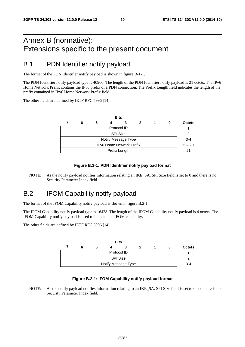# Annex B (normative): Extensions specific to the present document

### B.1 PDN Identifier notify payload

The format of the PDN Identifier notify payload is shown in figure B-1-1.

The PDN Identifier notify payload type is 40960. The length of the PDN Identifier notify payload is 21 octets. The IPv6 Home Network Prefix contains the IPv6 prefix of a PDN connection. The Prefix Length field indicates the length of the prefix contained in IPv6 Home Network Prefix field.

The other fields are defined by IETF RFC 5996 [14].

|                                 |   |  | <b>Bits</b>   |   |  |  |               |  |  |
|---------------------------------|---|--|---------------|---|--|--|---------------|--|--|
| 6                               | 5 |  |               | 2 |  |  | <b>Octets</b> |  |  |
| Protocol ID                     |   |  |               |   |  |  |               |  |  |
| <b>SPI Size</b>                 |   |  |               |   |  |  |               |  |  |
| Notify Message Type             |   |  |               |   |  |  |               |  |  |
| <b>IPv6 Home Network Prefix</b> |   |  |               |   |  |  |               |  |  |
|                                 |   |  | Prefix Length |   |  |  | 21            |  |  |
|                                 |   |  |               |   |  |  |               |  |  |

#### **Figure B.1-1: PDN Identifier notify payload format**

NOTE: As the notify payload notifies information relating an IKE\_SA, SPI Size field is set to 0 and there is no Security Parameter Index field.

### B.2 IFOM Capability notify payload

The format of the IFOM Capability notify payload is shown in figure B.2-1.

The IFOM Capability notify payload type is 16428. The length of the IFOM Capability notify payload is 4 octets. The IFOM Capability notify payload is used to indicate the IFOM capability.

The other fields are defined by IETF RFC 5996 [14].

|                     |  |  |  | <b>Bits</b> |  |  |  |               |
|---------------------|--|--|--|-------------|--|--|--|---------------|
|                     |  |  |  |             |  |  |  | <b>Octets</b> |
| Protocol ID         |  |  |  |             |  |  |  |               |
| <b>SPI Size</b>     |  |  |  |             |  |  |  |               |
| Notify Message Type |  |  |  |             |  |  |  | $3 - 4$       |

#### **Figure B.2-1: IFOM Capability notify payload format**

NOTE: As the notify payload notifies information relating to an IKE\_SA, SPI Size field is set to 0 and there is no Security Parameter Index field.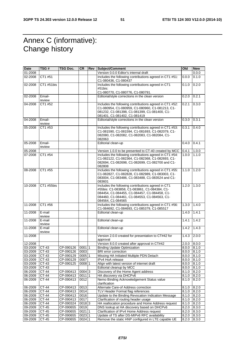# Annex C (informative): Change history

| Date    | TSG #            | TSG Doc.       | <b>CR</b> | Rev | Subject/Comment                                                                                                                                                                                                         | Old   | <b>New</b> |
|---------|------------------|----------------|-----------|-----|-------------------------------------------------------------------------------------------------------------------------------------------------------------------------------------------------------------------------|-------|------------|
| 01-2008 |                  |                |           |     | Version 0.0.0 Editor's internal draft                                                                                                                                                                                   |       | 0.0.0      |
| 02-2008 | CT1 #51          |                |           |     | Includes the following contributions agreed in CT1 #51:<br>C1-080436, C1-080437                                                                                                                                         | 0.0.0 | 0.1.0      |
| 02-2008 | CT1 #51bis       |                |           |     | Includes the following contributions agreed in CT1<br>#51bis:                                                                                                                                                           | 0.1.0 | 0.2.0      |
|         |                  |                |           |     | C1-080770, C1-080776, C1-080791.                                                                                                                                                                                        |       |            |
| 02-2008 | Email-<br>review |                |           |     | Editorial/style corrections in the clean version                                                                                                                                                                        | 0.2.0 | 0.2.1      |
| 04-2008 | CT1 #52          |                |           |     | Includes the following contributions agreed in CT1 #52:<br>C1-080954, C1-080959, C1-080960, C1-081213, C1-<br>081232, C1-081398, C1-081399, C1-081400, C1-<br>081401, C1-081402, C1-081419                              | 0.2.1 | 0.3.0      |
| 04-2008 | Email-<br>review |                |           |     | Editorial/style corrections in the clean version                                                                                                                                                                        | 0.3.0 | 0.3.1      |
| 05-2008 | CT1 #53          |                |           |     | Includes the following contributions agreed in CT1 #53:<br>C1-081590, C1-081594, C1-081693, C1-082079, C1-<br>082080, C1-082082, C1-082083, C1-082084, C1-<br>082063                                                    | 0.3.1 | 0.4.0      |
| 05-2008 | Email-<br>review |                |           |     | Editorial clean-up                                                                                                                                                                                                      | 0.4.0 | 0.4.1      |
| 05-2008 |                  |                |           |     | Version 1.0.0 to be presented to CT-40 created by MCC                                                                                                                                                                   | 0.4.1 | 1.0.0      |
| 07-2008 | CT1 #54          |                |           |     | Includes the following contributions agreed in CT1 #54:<br>C1-082122, C1-082364, C1-082368, C1-082693, C1-<br>082694, C1-082698, C1-082699, C1-082700 and C1-<br>082808                                                 | 1.0.0 | 1.1.0      |
| 08-2008 | CT1 #55          |                |           |     | Includes the following contributions agreed in CT1 #55:<br>C1-082827, C1-082828, C1-082989, C1-083003, C1-<br>083004, C1-083486, C1-083488, C1-083524 and C1-<br>083601                                                 | 1.1.0 | 1.2.0      |
| 10-2008 | CT1 #55bis       |                |           |     | Includes the following contributions agreed in CT1<br>#55bis: C1-083858, C1-083861, C1-084384, C1-<br>084454, C1-084455, C1-084457, C1-084458, C1-<br>084460, C1-084461, C1-084553, C1-084563, C1-<br>084564, C1-084565 | 1.2.0 | 1.3.0      |
| 11-2008 | CT1 #56          |                |           |     | Includes the following contributions agreed in CT1 #56:<br>C1-084692, C1-084693, C1-085379, C1-085517                                                                                                                   | 1.3.0 | 1.4.0      |
| 11-2008 | E-mail<br>review |                |           |     | Editorial clean-up                                                                                                                                                                                                      | 1.4.0 | 1.4.1      |
| 11-2008 | E-mail<br>review |                |           |     | Editorial clean-up                                                                                                                                                                                                      | 1.4.1 | 1.4.2      |
| 11-2008 | E-mail<br>review |                |           |     | Editorial clean-up                                                                                                                                                                                                      | 1.4.2 | 1.4.3      |
| 11-2008 |                  |                |           |     | Version 2.0.0 created for presentation to CT#42 for<br>approval                                                                                                                                                         | 1.4.3 | 2.0.0      |
| 12-2008 |                  |                |           |     | Version 8.0.0 created after approval in CT#42                                                                                                                                                                           | 2.0.0 | 6.0.0      |
| 03-2009 | CT-43            | CP-090126      | 000111    |     | <b>Binding Update Optimization</b>                                                                                                                                                                                      | 8.0.0 | 8.1.0      |
| 03-2009 | $CT-43$          | CP-090126 0003 |           |     | <b>BRI</b> error correction                                                                                                                                                                                             | 8.0.0 | 8.1.0      |
| 03-2009 | CT-43            | CP-090129      | 000511    |     | Missing HA Initiated Multiple PDN Detach                                                                                                                                                                                | 8.0.0 | 8.1.0      |
| 03-2009 | CT-43            | CP-090129      | 0007      |     | IPv4 HoA release                                                                                                                                                                                                        | 8.0.0 | 8.1.0      |
| 03-2009 | CT-43            | CP-090125      | 0008 1    |     | Align with latest version of internet draft                                                                                                                                                                             | 8.0.0 | 8.1.0      |
| 03-2009 | CT-43            |                |           |     | Editorial cleanup by MCC                                                                                                                                                                                                | 8.0.0 | 8.1.0      |
| 06-2009 | CT-44            | CP-090413      | $0004$ 3  |     | Discovery of the Home Agent address                                                                                                                                                                                     | 8.1.0 | 8.2.0      |
| 06-2009 | CT-44            | CP-090413      | 0011 1    |     | HA discovery via DHCPv6                                                                                                                                                                                                 | 8.1.0 | 8.2.0      |
| 06-2009 | CT-44            | CP-090413      | 0012      |     | Nemo Binding Acknowledgement Status value<br>clarification                                                                                                                                                              | 8.1.0 | 8.2.0      |
| 06-2009 | CT-44            | CP-090413      | 0013      |     | Alternate Care-of Address correction                                                                                                                                                                                    | 8.1.0 | 8.2.0      |
| 06-2009 | CT-44            | CP-090413      | 0014      |     | TLV Header Format flag references                                                                                                                                                                                       | 8.1.0 | 8.2.0      |
| 06-2009 | CT-44            | CP-090413      | 0016      |     | Update to the Binding Revocation Indication Message                                                                                                                                                                     | 8.1.0 | 8.2.0      |
| 06-2009 | $CT-44$          | CP-090413      | 0017      |     | Clarification of routing header usage                                                                                                                                                                                   | 8.1.0 | 8.2.0      |
| 06-2009 | CT-44            | CP-090324      | 00183     |     | HA reallocation procedure and Home Address request                                                                                                                                                                      | 8.1.0 | 8.2.0      |
| 09-2009 | CT-45            | CP-090655      | 0019      |     | DNS lookup at HA discovery based on DHCPv6                                                                                                                                                                              | 8.2.0 | 8.3.0      |
| 09-2009 | CT-45            | CP-090655      | 0021 1    |     | Clarification of IPv4 Home Address request                                                                                                                                                                              | 8.2.0 | 8.3.0      |
| 09-2009 | CT-45            | CP-090655      | 0023 1    |     | Update of TS after DS-MIPv6 RFC availability                                                                                                                                                                            | 8.2.0 | 8.3.0      |
| 09-2009 | CT-45            | CP-090655      | 0024 1    |     | Remove the static HNP configured in LTE capable UE                                                                                                                                                                      | 8.2.0 | 8.3.0      |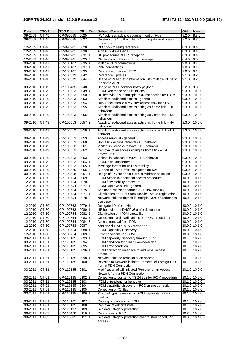| <b>Date</b> | TSG#         | <b>TSG Doc.</b>  | <b>CR</b>           | Rev | Subject/Comment                                                                    | O <sub>0</sub> | <b>New</b>      |
|-------------|--------------|------------------|---------------------|-----|------------------------------------------------------------------------------------|----------------|-----------------|
| 09-2009     | CT-45        | CP-090655        | 0025                |     | IPv4 address acknowledgement option type                                           | 8.2.0          | 8.3.0           |
| 09-2009     | CT-45        | CP-090655        | 0027                |     | Deletion of SA to the initial HA during HA reallocation<br>procedure               | 8.2.0          | 8.3.0           |
| 12-2009     | CT-46        | CP-090901        | 0028                |     | RFC5555 missing reference                                                          | 8.3.0          | 8.4.0           |
| 12-2009     | CT-46        | CP-090901        | 0030                |     | A bit in BRI message                                                               | 8.3.0          | 8.4.0           |
| 12-2009     | CT-46        | CP-090901        | $0031$  1           |     | UE procedures at BRI reception                                                     | 8.3.0          | 8.4.0           |
| 12-2009     | CT-46        | CP-090901        | $0029$ <sub>2</sub> |     | Clarification of Binding Error message                                             |                | 9.0.0           |
|             |              |                  |                     |     |                                                                                    | 8.4.0          |                 |
| 03-2010     | CT-47        | CP-100107        | 0035 1              |     | Multiple PDN connections                                                           | 9.0.0          | 9.1.0           |
| $03 - 2010$ | CT-47        | CP-100107        | 0037 1              |     | PDN connections                                                                    | 9.0.0          | 9.1.0           |
| 03-2010     | CT-47        | CP-100107        | 0039                |     | Reference to redirect RFC                                                          | 9.0.0          | 9.1.0           |
| 06-2010     | CT-48        | CP-100339        | 0042                |     | <b>Reference Updates</b>                                                           | 9.1.0          | 9.2.0           |
| 06-2010     | <b>CT-48</b> | CP-100339        | $0044$ 2            |     | Usage of PDN prefix information with multiple PDNs to<br>the same APN              | 9.1.0          | 9.2.0           |
| 09-2010     | CT-49        | CP-100485        | 0048 3              |     | Usage of PDN Identifier notify payload                                             | 9.2.0          | 9.3.0           |
| 09-2010     | CT-49        | CP-100513        | 0049 4              |     | IFOM Reference and Definitions                                                     | 9.3.0          | 10.0.0          |
| 09-2010     | CT-49        | CP-100513        | 0050 6              |     | UE behaviour with multiple PDN connection for IFOM                                 | 9.3.0          | 10.0.0          |
| 09-2010     | CT-49        | CP-100513        | 0053 3              |     | Attach to additional access - general                                              | 9.3.0          | 10.0.0          |
| 09-2010     | CT-49        | CP-100513        | 0054 5              |     | Dual Stack Mobile IPv6 inter-access flow mobility                                  | 9.3.0          | 10.0.0          |
| 09-2010     | CT-49        | CP-100513        | $0055$ 2            |     | Attach to additional access acting as home link - UE<br>behaviour                  | 9.3.0          | 10.0.0          |
| 09-2010     | CT-49        | CP-100513        | 0056 2              |     | Attach to additional access acting as visted link - UE                             | 9.3.0          | 10.0.0          |
| 09-2010     | CT-49        | CP-100513        | 0057 2              |     | behaviour<br>Attach to additional access acting as home link - HA                  | 9.3.0          | 10.0.0          |
| 09-2010     | CT-49        | CP-100513        | 0058 1              |     | behaviour<br>Attach to additional access acting as visited link - HA               | 9.3.0          | 10.0.0          |
| 09-2010     | CT-49        | CP-100513        | 0059 2              |     | behavior<br>Access removal - general                                               | 9.3.0          | 10.0.0          |
| 09-2010     | CT-49        | CP-100513        | 0060                |     | Home link access removal - UE behavior                                             | 9.3.0          | 10.0.0          |
| 09-2010     | CT-49        | CP-100513        | 0061 2              |     |                                                                                    |                | 10.0.0          |
|             |              |                  |                     |     | Visited link access removal - UE behavior                                          | 9.3.0          |                 |
| 09-2010     | CT-49        | CP-100513        | 0062                |     | Removal of an access acting as home link - HA<br>procedures                        | 9.3.0          | 10.0.0          |
| 09-2010     | CT-49        | CP-100513        | 0063 2              |     | Visited link access removal - HA behavior                                          | 9.3.0          | 10.0.0          |
| 09-2010     | CT-49        | CP-100513        | $0064$  1           |     | IFOM initial attachment                                                            | 9.3.0          | 10.0.0          |
| 09-2010     | CT-49        | CP-100513        | 0065 1              |     | Message format for IP flow mobility                                                | 9.3.0          | 10.0.0          |
| 09-2010     | CT-49        | CP-100520        | 0066 2              |     | Support of IPv6 Prefix Delegation on S2c                                           | 9.3.0          | 10.0.0          |
| 09-2010     | CT-49        | CP-100518        | 00671               |     | Usage of IP version for Care-of Address selection                                  | 9.3.0          | 10.0.0          |
| 12-2010     | CT-50        | CP-100754        | 0069 2              |     | IFOM Attach to additional access procedure                                         |                | 10.0.0 10.1.0   |
| 12-2010     | CT-50        | CP-100754        | 0070 2              |     | IFOM flow mobility procedure                                                       |                | 10.0.0 10.1.0   |
| 12-2010     | CT-50        | CP-100754        | 00711               |     | IFOM Remove a link - general                                                       |                | 10.0.0 10.1.0   |
| 12-2010     | CT-50        | CP-100754        | 0075 3              |     | Additional message format for IP flow mobility                                     |                | 10.0.0 10.1.0   |
| 12-2010     | CT-50        | CP-100754        | 00771               |     | Clarification on Dual Stack Mobile IPv6 re-registration                            |                | 10.0.0 10.1.0   |
| 12-2010     | CT-50        | CP-100754        | 0078 3              |     | Network-initiated detach in multiple Care-of addresses                             |                | $10.0.0$ 10.1.0 |
|             |              |                  |                     |     | use case                                                                           |                |                 |
| $12 - 2010$ | CT-50        | CP-100763        | 0079 1              |     | Delegated Prefix in HA                                                             |                | 10.0.0 10.1.0   |
| 12-2010     | CT-50        | CP-100763        | 0080 1              |     | UE behaviour of DHCPv6 prefix delegation                                           |                | 10.0.0 10.1.0   |
| 12-2010     | CT-50        | CP-100754 0082 2 |                     |     | Clarification on IFOM capability                                                   |                | $10.0.0$ 10.1.0 |
| $12 - 2010$ | CT-50        | CP-100754        | 008311              |     | Corrections and clarifications on IFOM procedures                                  |                | 10.0.0 10.1.0   |
| 12-2010     | CT-50        | CP-100754        | 0084 5              |     | Access removal from PDN                                                            |                | 10.0.0 10.1.0   |
| 12-2010     | CT-50        | CP-100763        | 0087                |     | Assigned HNP in BA message                                                         |                | 10.0.0 10.1.0   |
|             |              |                  |                     |     |                                                                                    |                |                 |
| 12-2010     | CT-50        | CP-100754        | 0088 1              |     | <b>IFOM Capability Discovery</b>                                                   |                | $10.0.0$ 10.1.0 |
| 12-2010     | CT-50        | CP-100754        | $0089$ <sup>2</sup> |     | Error conditions for IFOM                                                          |                | 10.0.0 10.1.0   |
| 03-2011     | CT-51        | CP-110185        | 0093 1              |     | IFOM capability discovery through ISRP                                             |                | 10.1.0 10.2.0   |
| 03-2011     | CT-51        | CP-110185        | 0094 3              |     | IFOM condition for binding acknowledge                                             |                | 10.1.0 10.2.0   |
| 03-2011     | CT-51        | CP-110185        | 0095                |     | IFOM error condition                                                               |                | 10.1.0 10.2.0   |
| 03-2011     | CT-51        | CP-110185        | 0096 1              |     | IFOM correction on attach to additional access<br>procedure                        |                | 10.1.0 10.2.0   |
| 03-2011     | CT-51        | CP-110185        | 0098 1              |     | Network-initiated removal of an access                                             |                | 10.1.0 10.2.0   |
| 03-2011     | CT-51        | CP-110185        | 01003               |     | Revision to Network-initiated Removal of Foreign Link                              |                | 10.1.0 10.2.0   |
|             |              |                  |                     |     | from a PDN Connection                                                              |                |                 |
| 03-2011     | CT-51        | CP-110185        | 0101                |     | Modification of UE-initiated Removal of an Access<br>Network from a PDN Connection |                | 10.1.0 10.2.0   |
| 03-2011     | CT-51        | CP-110185        | 0102 1              |     | Correction to pointer to TS 24.302 for IFOM procedure                              |                | 10.1.0 10.2.0   |
| 03-2011     | CT-51        | CP-110185        | 0103                |     | IFOM extensions for handover                                                       |                | 10.1.0 10.2.0   |
| 03-2011     | CT-51        | CP-110185        | 0104                |     | IFOM capability discovery - PCO usage correction                                   |                | 10.1.0 10.2.0   |
| 03-2011     | CT-51        | CP-110185        | 0105                |     | Correction on 'O' flag                                                             |                | 10.1.0 10.2.0   |
| 03-2011     | CT-51        | CP-110185        | $0106$ 1            |     | Protocol type definition for IFOM capability IKE-v2<br>payload                     |                | 10.1.0 10.2.0   |
| 03-2011     | CT-51        | CP-110185        | 0107 2              |     | Routing of packets for IFOM                                                        |                | 10.1.0 10.2.0   |
| 03-2011     | CT-51        | CP-110185        | 0108                |     | Removal of editor"s note                                                           |                | 10.1.0 10.2.0   |
| 03-2011     | CT-51        | CP-110197        | 0109 2              |     | S2c data integrity protection                                                      |                | 10.1.0 10.2.0   |
| 06-2011     | CT-52        | CP-110478        | 0110 1              |     | References to RFC                                                                  |                | 10.2.0 10.3.0   |
| 09-2011     | CT-53        | CP-110682        | 0111 1              |     | S2c data integrity protection over trusted non-3GPP                                |                | 10.3.0 10.4.0   |
|             |              |                  |                     |     | access                                                                             |                |                 |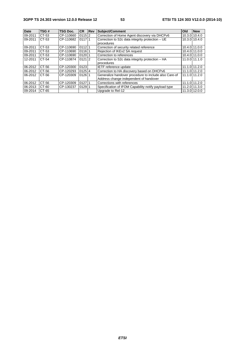| <b>Date</b> | TSG#  | TSG Doc.  | <b>CR</b> | <b>IRev</b> | Subject/Comment                                                                                 | Old | <b>New</b>      |
|-------------|-------|-----------|-----------|-------------|-------------------------------------------------------------------------------------------------|-----|-----------------|
| 09-2011     | CT-53 | CP-110660 | $0115$  2 |             | Correction of Home Agent discovery via DHCPv6                                                   |     | 10.3.0 10.4.0   |
| 09-2011     | CT-53 | CP-110682 | 011711    |             | Correction to S2c data integrity protection - UE<br>procedures                                  |     | 10.3.0 10.4.0   |
| 09-2011     | CT-53 | CP-110690 | 011211    |             | Correction of security related reference                                                        |     | 10.4.0 11.0.0   |
| 09-2011     | CT-53 | CP-110690 | 01161     |             | Rejection of IKEv2 SA request                                                                   |     | 10.4.0 11.0.0   |
| 09-2011     | CT-53 | CP-110690 | 01201     |             | Correction to references                                                                        |     | 10.4.0 11.0.0   |
| 12-2011     | CT-54 | CP-110874 | $0121$  2 |             | Correction to S2c data integrity protection - HA<br>procedures                                  |     | 11.0.0 11.1.0   |
| 06-2012     | CT-56 | CP-120300 | 0123      |             | IETF reference update                                                                           |     | 11.1.0 11.2.0   |
| 06-2012     | CT-56 | CP-120293 | 01254     |             | Correction to HA discovery based on DHCPv6                                                      |     | $11.1.0$ 11.2.0 |
| 06-2012     | CT-56 | CP-120309 | $0126$ 1  |             | Generalize handover procedure to include also Care-of<br>Address change independent of handover |     | 11.1.0 11.2.0   |
| 06-2012     | CT-56 | CP-120309 | 012711    |             | Corrections with references                                                                     |     | 11.1.0 11.2.0   |
| 06-2013     | CT-60 | CP-130237 | 012911    |             | Specification of IFOM Capability notify payload type                                            |     | 11.2.0 11.3.0   |
| 09-2014     | CT-65 |           |           |             | Uparade to Rel-12                                                                               |     | 11.3.0 12.0.0   |